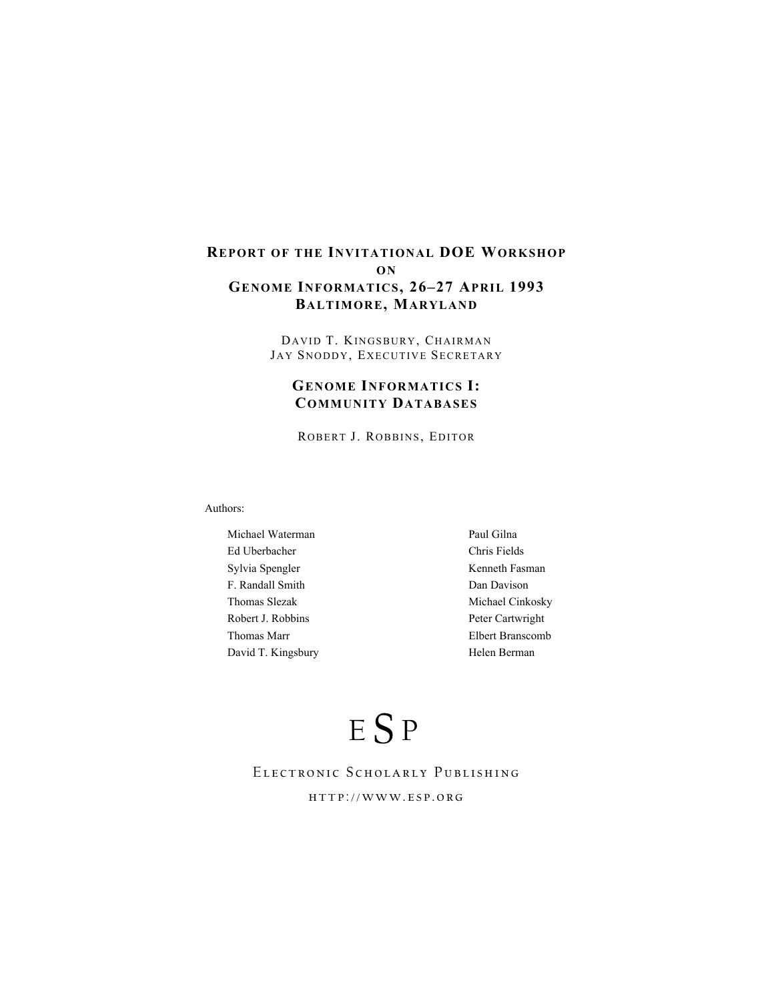# **REPORT OF THE INVITATIONAL DOE WORKSHOP ON GENOME INFORMATICS, 26–27 APRIL 1993 BALTIMORE, MARYLAND**

DAVID T. KINGSBURY, CHAIRMAN JAY SNODDY, EXECUTIVE SECRETARY

# **GENOME INFORMATICS I: COMMUNITY DATABASES**

ROBERT J. ROBBINS, EDITOR

Authors:

Michael Waterman Paul Gilna Ed Uberbacher Chris Fields Sylvia Spengler Kenneth Fasman F. Randall Smith Dan Davison Thomas Slezak Michael Cinkosky Robert J. Robbins Peter Cartwright Thomas Marr Elbert Branscomb David T. Kingsbury Helen Berman

# ESP

# Electronic Scholarly Publishing

http://www.esp.org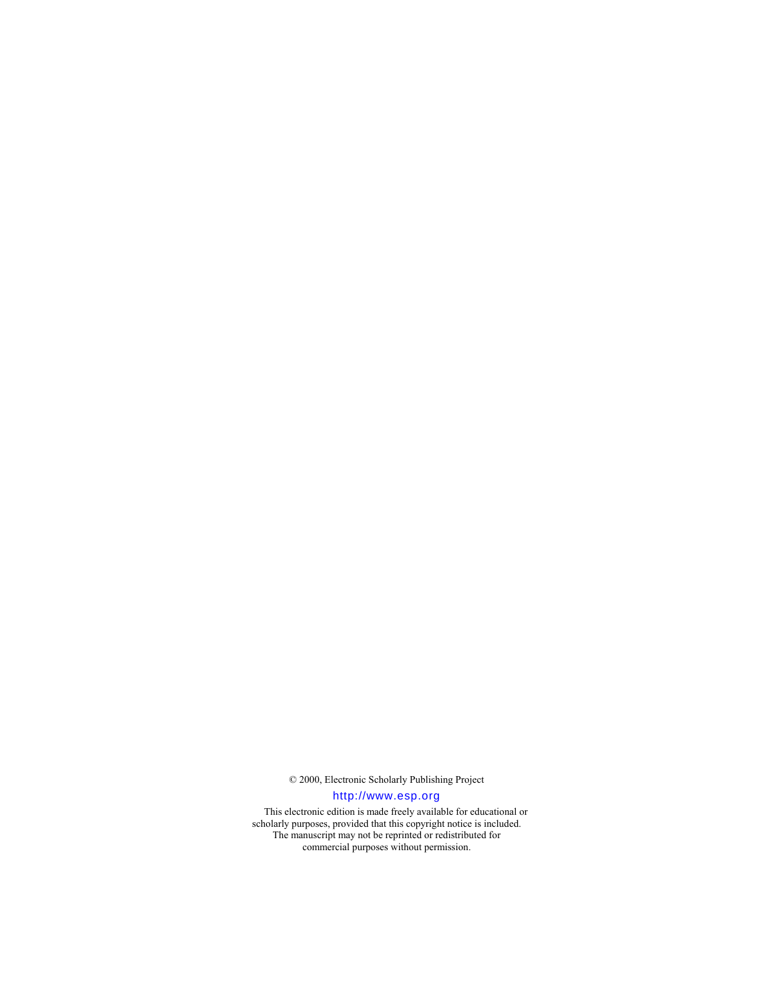© 2000, Electronic Scholarly Publishing Project

# http://www.esp.org

This electronic edition is made freely available for educational or scholarly purposes, provided that this copyright notice is included. The manuscript may not be reprinted or redistributed for commercial purposes without permission.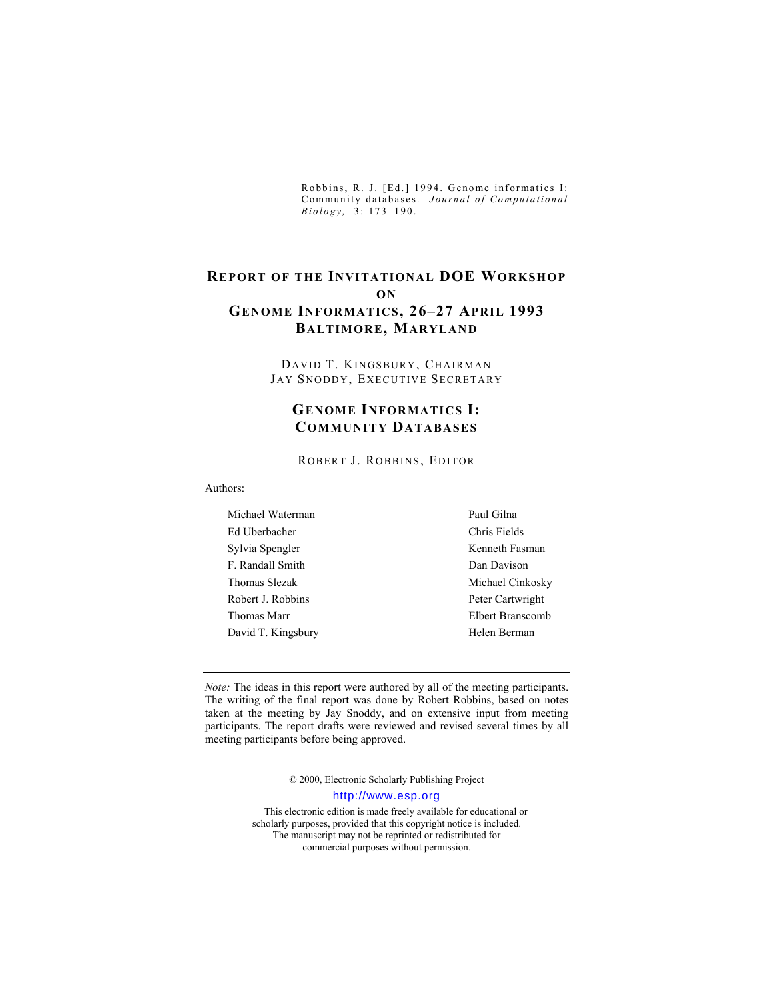Robbins, R. J. [Ed .] 1994. Genome informatics I: Community databases. *Journal of Computational*   $Biology, 3: 173-190.$ 

# **REPORT OF THE INVITATIONAL DOE WORKSHOP ON GENOME INFORMATICS, 26–27 APRIL 1993 BALTIMORE, MARYLAND**

DAVID T. KINGSBURY, CHAIRMAN JAY SNODDY, EXECUTIVE SECRETARY

# **GENOME INFORMATICS I: COMMUNITY DATABASES**

ROBERT J. ROBBINS, EDITOR

Authors:

Michael Waterman Paul Gilna Ed Uberbacher Chris Fields Sylvia Spengler Kenneth Fasman F. Randall Smith Dan Davison Thomas Slezak Michael Cinkosky Robert J. Robbins Peter Cartwright Thomas Marr Elbert Branscomb David T. Kingsbury Helen Berman

*Note:* The ideas in this report were authored by all of the meeting participants. The writing of the final report was done by Robert Robbins, based on notes taken at the meeting by Jay Snoddy, and on extensive input from meeting participants. The report drafts were reviewed and revised several times by all meeting participants before being approved.

© 2000, Electronic Scholarly Publishing Project

#### http://www.esp.org

This electronic edition is made freely available for educational or scholarly purposes, provided that this copyright notice is included. The manuscript may not be reprinted or redistributed for commercial purposes without permission.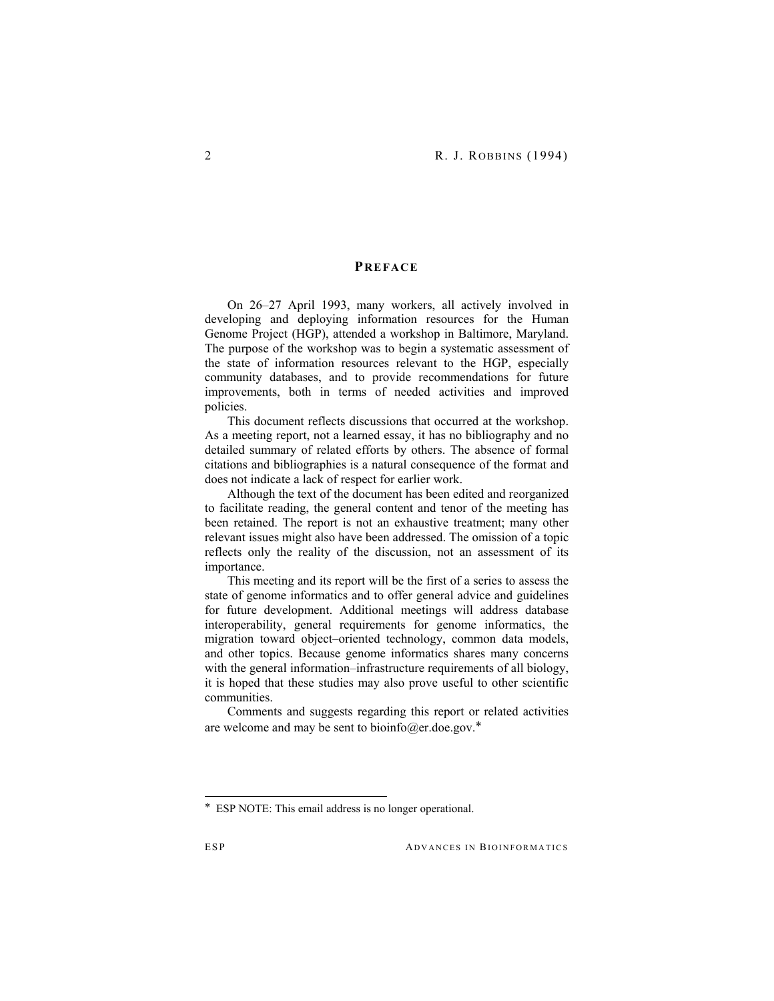#### **PREFACE**

On 26–27 April 1993, many workers, all actively involved in developing and deploying information resources for the Human Genome Project (HGP), attended a workshop in Baltimore, Maryland. The purpose of the workshop was to begin a systematic assessment of the state of information resources relevant to the HGP, especially community databases, and to provide recommendations for future improvements, both in terms of needed activities and improved policies.

This document reflects discussions that occurred at the workshop. As a meeting report, not a learned essay, it has no bibliography and no detailed summary of related efforts by others. The absence of formal citations and bibliographies is a natural consequence of the format and does not indicate a lack of respect for earlier work.

Although the text of the document has been edited and reorganized to facilitate reading, the general content and tenor of the meeting has been retained. The report is not an exhaustive treatment; many other relevant issues might also have been addressed. The omission of a topic reflects only the reality of the discussion, not an assessment of its importance.

This meeting and its report will be the first of a series to assess the state of genome informatics and to offer general advice and guidelines for future development. Additional meetings will address database interoperability, general requirements for genome informatics, the migration toward object–oriented technology, common data models, and other topics. Because genome informatics shares many concerns with the general information–infrastructure requirements of all biology, it is hoped that these studies may also prove useful to other scientific communities.

Comments and suggests regarding this report or related activities are welcome and may be sent to bioinfo@er.doe.gov[.\\*](#page-3-0)

<span id="page-3-0"></span> <sup>\*</sup> ESP NOTE: This email address is no longer operational.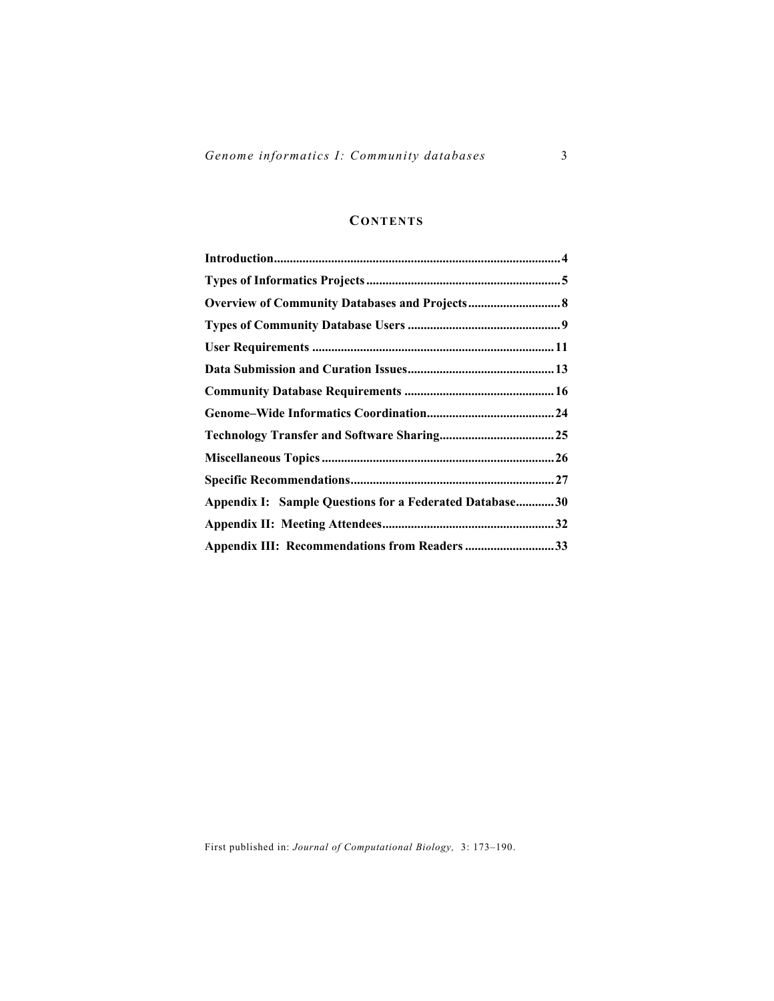# **CONTENTS**

| Appendix I: Sample Questions for a Federated Database30 |  |
|---------------------------------------------------------|--|
|                                                         |  |
| Appendix III: Recommendations from Readers 33           |  |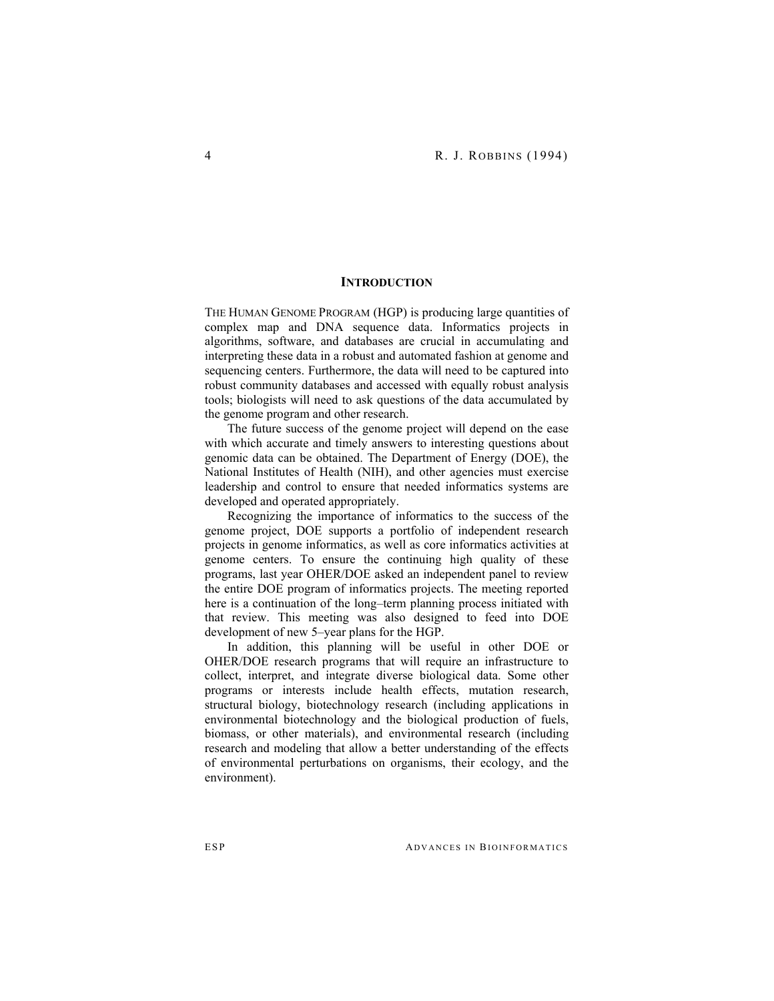# **INTRODUCTION**

<span id="page-5-0"></span>THE HUMAN GENOME PROGRAM (HGP) is producing large quantities of complex map and DNA sequence data. Informatics projects in algorithms, software, and databases are crucial in accumulating and interpreting these data in a robust and automated fashion at genome and sequencing centers. Furthermore, the data will need to be captured into robust community databases and accessed with equally robust analysis tools; biologists will need to ask questions of the data accumulated by the genome program and other research.

The future success of the genome project will depend on the ease with which accurate and timely answers to interesting questions about genomic data can be obtained. The Department of Energy (DOE), the National Institutes of Health (NIH), and other agencies must exercise leadership and control to ensure that needed informatics systems are developed and operated appropriately.

Recognizing the importance of informatics to the success of the genome project, DOE supports a portfolio of independent research projects in genome informatics, as well as core informatics activities at genome centers. To ensure the continuing high quality of these programs, last year OHER/DOE asked an independent panel to review the entire DOE program of informatics projects. The meeting reported here is a continuation of the long–term planning process initiated with that review. This meeting was also designed to feed into DOE development of new 5–year plans for the HGP.

In addition, this planning will be useful in other DOE or OHER/DOE research programs that will require an infrastructure to collect, interpret, and integrate diverse biological data. Some other programs or interests include health effects, mutation research, structural biology, biotechnology research (including applications in environmental biotechnology and the biological production of fuels, biomass, or other materials), and environmental research (including research and modeling that allow a better understanding of the effects of environmental perturbations on organisms, their ecology, and the environment).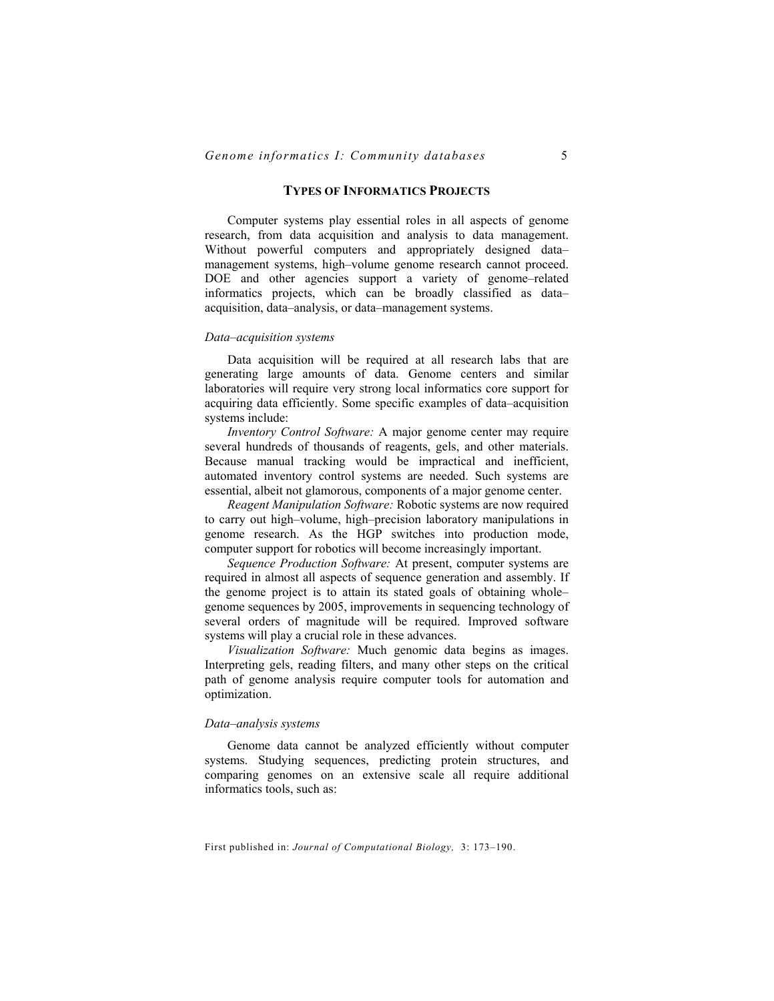# **TYPES OF INFORMATICS PROJECTS**

<span id="page-6-0"></span>Computer systems play essential roles in all aspects of genome research, from data acquisition and analysis to data management. Without powerful computers and appropriately designed data– management systems, high–volume genome research cannot proceed. DOE and other agencies support a variety of genome–related informatics projects, which can be broadly classified as data– acquisition, data–analysis, or data–management systems.

#### *Data–acquisition systems*

Data acquisition will be required at all research labs that are generating large amounts of data. Genome centers and similar laboratories will require very strong local informatics core support for acquiring data efficiently. Some specific examples of data–acquisition systems include:

*Inventory Control Software:* A major genome center may require several hundreds of thousands of reagents, gels, and other materials. Because manual tracking would be impractical and inefficient, automated inventory control systems are needed. Such systems are essential, albeit not glamorous, components of a major genome center.

*Reagent Manipulation Software:* Robotic systems are now required to carry out high–volume, high–precision laboratory manipulations in genome research. As the HGP switches into production mode, computer support for robotics will become increasingly important.

*Sequence Production Software:* At present, computer systems are required in almost all aspects of sequence generation and assembly. If the genome project is to attain its stated goals of obtaining whole– genome sequences by 2005, improvements in sequencing technology of several orders of magnitude will be required. Improved software systems will play a crucial role in these advances.

*Visualization Software:* Much genomic data begins as images. Interpreting gels, reading filters, and many other steps on the critical path of genome analysis require computer tools for automation and optimization.

#### *Data–analysis systems*

Genome data cannot be analyzed efficiently without computer systems. Studying sequences, predicting protein structures, and comparing genomes on an extensive scale all require additional informatics tools, such as: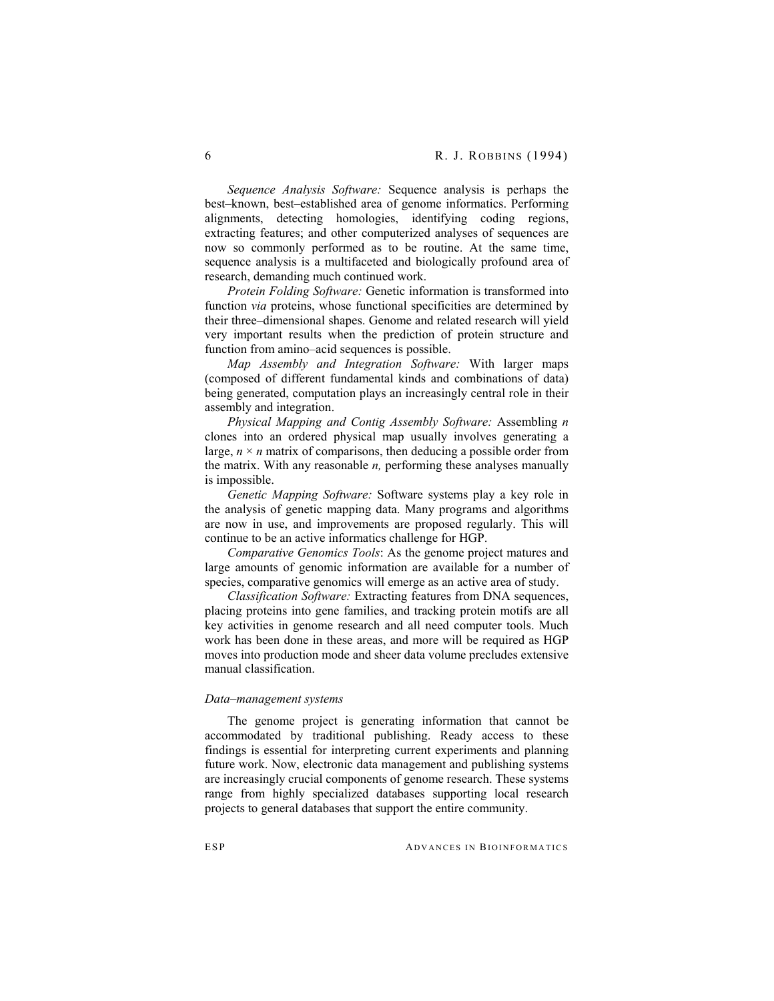*Sequence Analysis Software:* Sequence analysis is perhaps the best–known, best–established area of genome informatics. Performing alignments, detecting homologies, identifying coding regions, extracting features; and other computerized analyses of sequences are now so commonly performed as to be routine. At the same time, sequence analysis is a multifaceted and biologically profound area of research, demanding much continued work.

*Protein Folding Software:* Genetic information is transformed into function *via* proteins, whose functional specificities are determined by their three–dimensional shapes. Genome and related research will yield very important results when the prediction of protein structure and function from amino–acid sequences is possible.

*Map Assembly and Integration Software:* With larger maps (composed of different fundamental kinds and combinations of data) being generated, computation plays an increasingly central role in their assembly and integration.

*Physical Mapping and Contig Assembly Software:* Assembling *n*  clones into an ordered physical map usually involves generating a large,  $n \times n$  matrix of comparisons, then deducing a possible order from the matrix. With any reasonable *n,* performing these analyses manually is impossible.

*Genetic Mapping Software:* Software systems play a key role in the analysis of genetic mapping data. Many programs and algorithms are now in use, and improvements are proposed regularly. This will continue to be an active informatics challenge for HGP.

*Comparative Genomics Tools*: As the genome project matures and large amounts of genomic information are available for a number of species, comparative genomics will emerge as an active area of study.

*Classification Software:* Extracting features from DNA sequences, placing proteins into gene families, and tracking protein motifs are all key activities in genome research and all need computer tools. Much work has been done in these areas, and more will be required as HGP moves into production mode and sheer data volume precludes extensive manual classification.

#### *Data–management systems*

The genome project is generating information that cannot be accommodated by traditional publishing. Ready access to these findings is essential for interpreting current experiments and planning future work. Now, electronic data management and publishing systems are increasingly crucial components of genome research. These systems range from highly specialized databases supporting local research projects to general databases that support the entire community.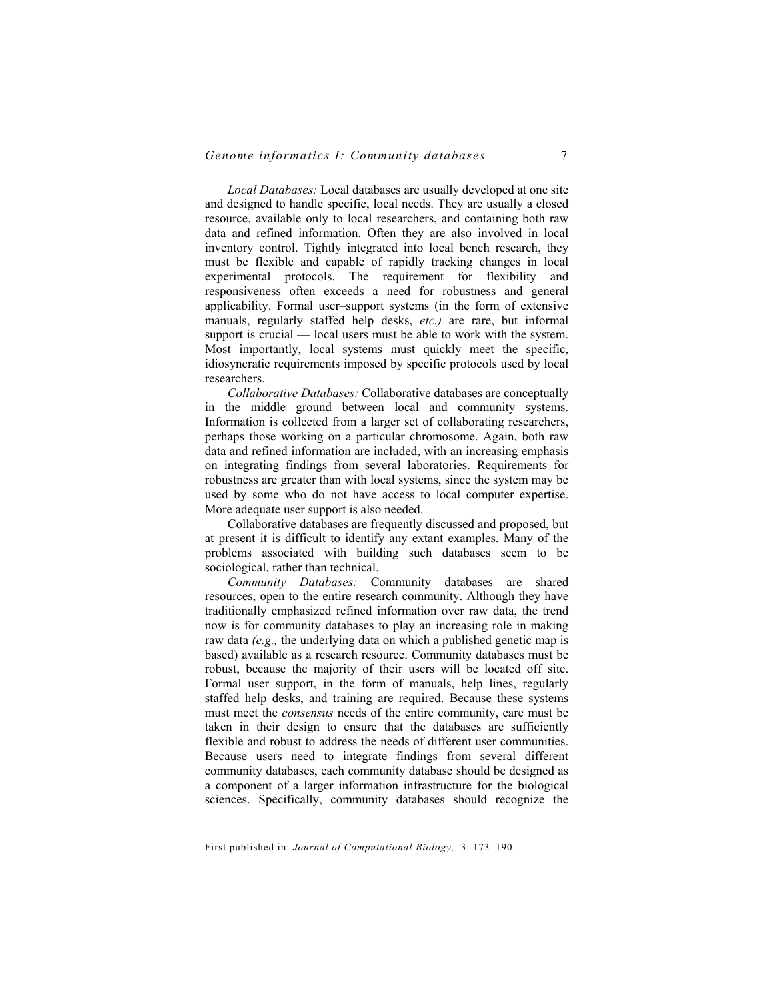*Local Databases:* Local databases are usually developed at one site and designed to handle specific, local needs. They are usually a closed resource, available only to local researchers, and containing both raw data and refined information. Often they are also involved in local inventory control. Tightly integrated into local bench research, they must be flexible and capable of rapidly tracking changes in local experimental protocols. The requirement for flexibility and responsiveness often exceeds a need for robustness and general applicability. Formal user–support systems (in the form of extensive manuals, regularly staffed help desks, *etc.)* are rare, but informal support is crucial — local users must be able to work with the system. Most importantly, local systems must quickly meet the specific, idiosyncratic requirements imposed by specific protocols used by local researchers.

*Collaborative Databases:* Collaborative databases are conceptually in the middle ground between local and community systems. Information is collected from a larger set of collaborating researchers, perhaps those working on a particular chromosome. Again, both raw data and refined information are included, with an increasing emphasis on integrating findings from several laboratories. Requirements for robustness are greater than with local systems, since the system may be used by some who do not have access to local computer expertise. More adequate user support is also needed.

Collaborative databases are frequently discussed and proposed, but at present it is difficult to identify any extant examples. Many of the problems associated with building such databases seem to be sociological, rather than technical.

*Community Databases:* Community databases are shared resources, open to the entire research community. Although they have traditionally emphasized refined information over raw data, the trend now is for community databases to play an increasing role in making raw data *(e.g.,* the underlying data on which a published genetic map is based) available as a research resource. Community databases must be robust, because the majority of their users will be located off site. Formal user support, in the form of manuals, help lines, regularly staffed help desks, and training are required. Because these systems must meet the *consensus* needs of the entire community, care must be taken in their design to ensure that the databases are sufficiently flexible and robust to address the needs of different user communities. Because users need to integrate findings from several different community databases, each community database should be designed as a component of a larger information infrastructure for the biological sciences. Specifically, community databases should recognize the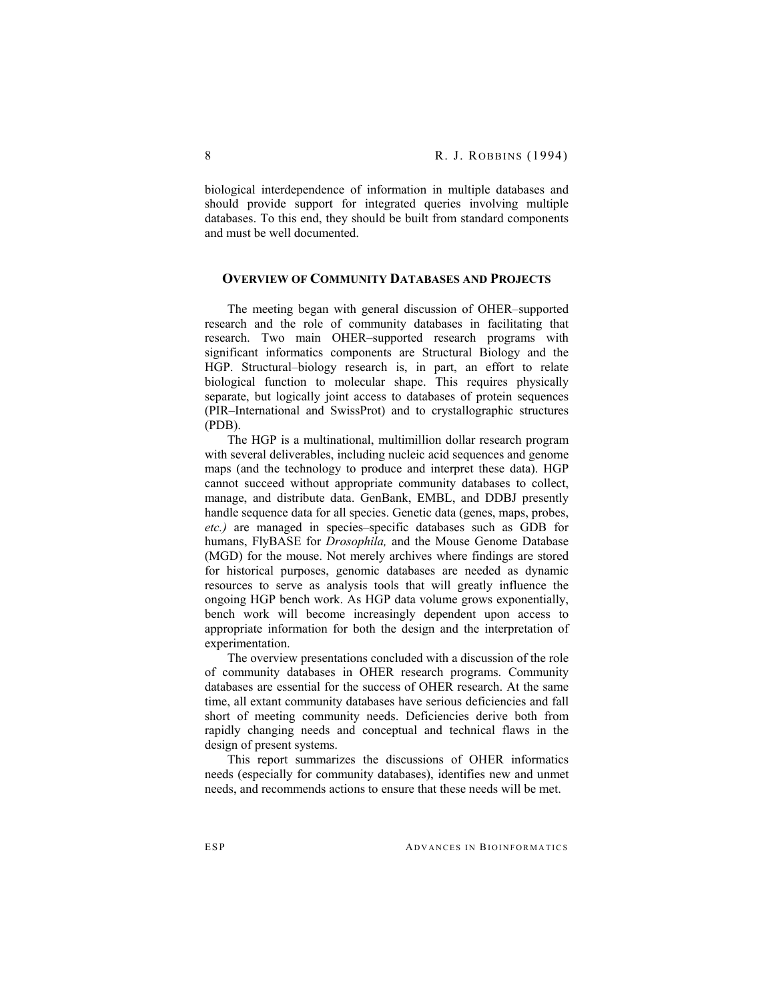<span id="page-9-0"></span>biological interdependence of information in multiple databases and should provide support for integrated queries involving multiple databases. To this end, they should be built from standard components and must be well documented.

# **OVERVIEW OF COMMUNITY DATABASES AND PROJECTS**

The meeting began with general discussion of OHER–supported research and the role of community databases in facilitating that research. Two main OHER–supported research programs with significant informatics components are Structural Biology and the HGP. Structural–biology research is, in part, an effort to relate biological function to molecular shape. This requires physically separate, but logically joint access to databases of protein sequences (PIR–International and SwissProt) and to crystallographic structures (PDB).

The HGP is a multinational, multimillion dollar research program with several deliverables, including nucleic acid sequences and genome maps (and the technology to produce and interpret these data). HGP cannot succeed without appropriate community databases to collect, manage, and distribute data. GenBank, EMBL, and DDBJ presently handle sequence data for all species. Genetic data (genes, maps, probes, *etc.)* are managed in species–specific databases such as GDB for humans, FlyBASE for *Drosophila,* and the Mouse Genome Database (MGD) for the mouse. Not merely archives where findings are stored for historical purposes, genomic databases are needed as dynamic resources to serve as analysis tools that will greatly influence the ongoing HGP bench work. As HGP data volume grows exponentially, bench work will become increasingly dependent upon access to appropriate information for both the design and the interpretation of experimentation.

The overview presentations concluded with a discussion of the role of community databases in OHER research programs. Community databases are essential for the success of OHER research. At the same time, all extant community databases have serious deficiencies and fall short of meeting community needs. Deficiencies derive both from rapidly changing needs and conceptual and technical flaws in the design of present systems.

This report summarizes the discussions of OHER informatics needs (especially for community databases), identifies new and unmet needs, and recommends actions to ensure that these needs will be met.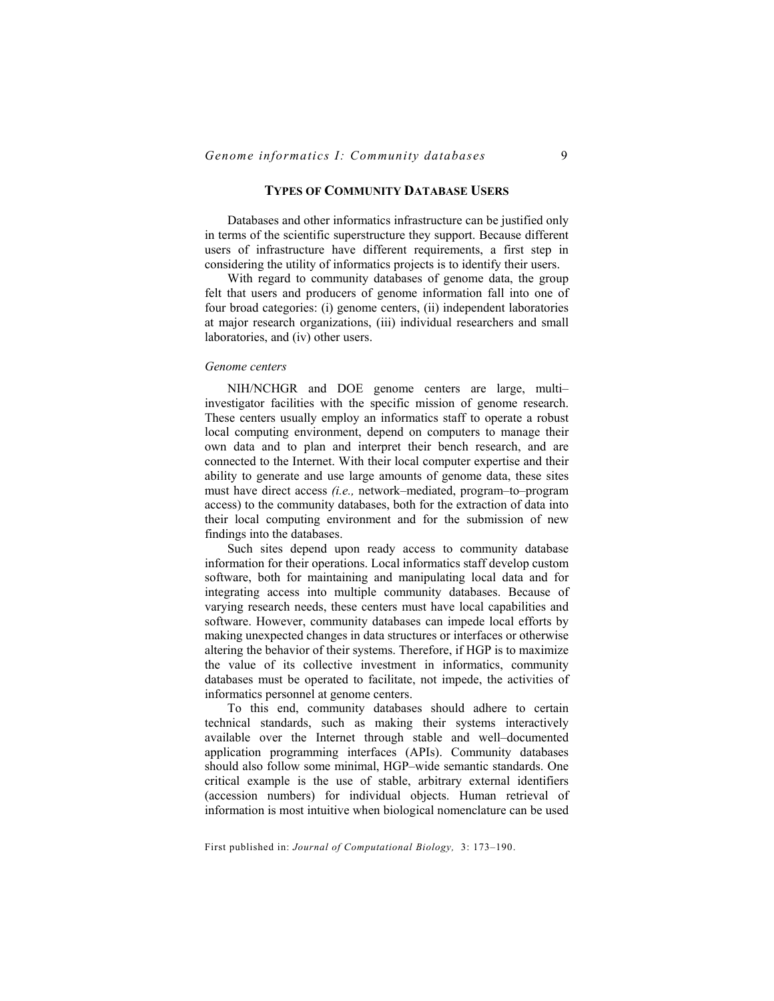# **TYPES OF COMMUNITY DATABASE USERS**

<span id="page-10-0"></span>Databases and other informatics infrastructure can be justified only in terms of the scientific superstructure they support. Because different users of infrastructure have different requirements, a first step in considering the utility of informatics projects is to identify their users.

With regard to community databases of genome data, the group felt that users and producers of genome information fall into one of four broad categories: (i) genome centers, (ii) independent laboratories at major research organizations, (iii) individual researchers and small laboratories, and (iv) other users.

#### *Genome centers*

NIH/NCHGR and DOE genome centers are large, multi– investigator facilities with the specific mission of genome research. These centers usually employ an informatics staff to operate a robust local computing environment, depend on computers to manage their own data and to plan and interpret their bench research, and are connected to the Internet. With their local computer expertise and their ability to generate and use large amounts of genome data, these sites must have direct access *(i.e.,* network–mediated, program–to–program access) to the community databases, both for the extraction of data into their local computing environment and for the submission of new findings into the databases.

Such sites depend upon ready access to community database information for their operations. Local informatics staff develop custom software, both for maintaining and manipulating local data and for integrating access into multiple community databases. Because of varying research needs, these centers must have local capabilities and software. However, community databases can impede local efforts by making unexpected changes in data structures or interfaces or otherwise altering the behavior of their systems. Therefore, if HGP is to maximize the value of its collective investment in informatics, community databases must be operated to facilitate, not impede, the activities of informatics personnel at genome centers.

To this end, community databases should adhere to certain technical standards, such as making their systems interactively available over the Internet through stable and well–documented application programming interfaces (APIs). Community databases should also follow some minimal, HGP–wide semantic standards. One critical example is the use of stable, arbitrary external identifiers (accession numbers) for individual objects. Human retrieval of information is most intuitive when biological nomenclature can be used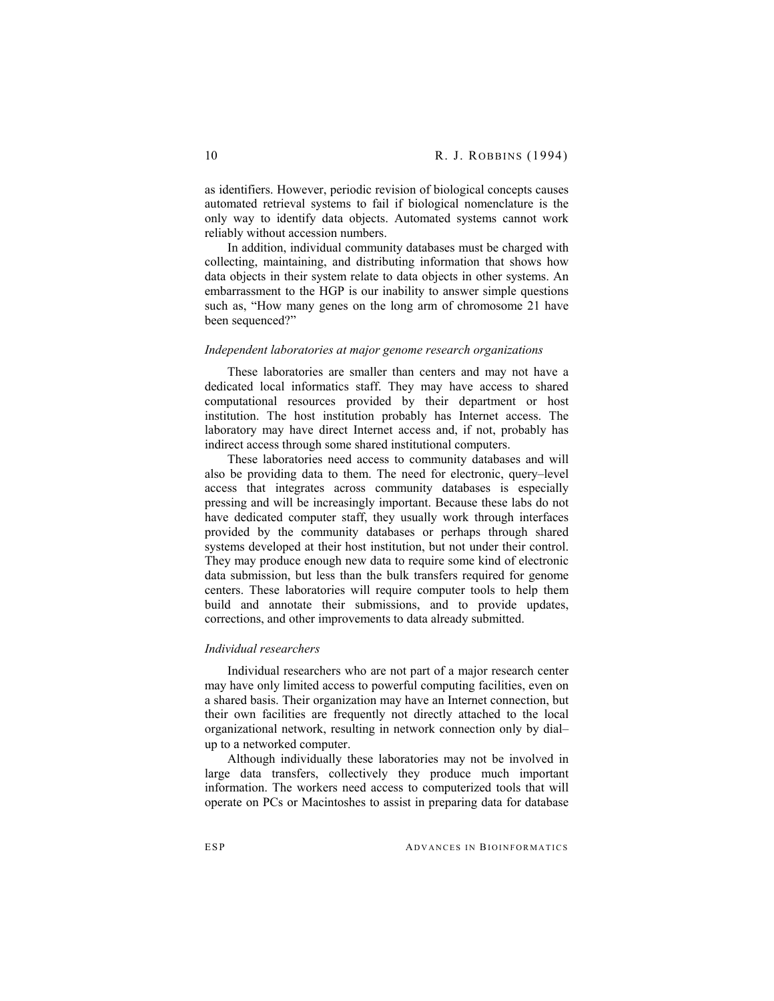as identifiers. However, periodic revision of biological concepts causes automated retrieval systems to fail if biological nomenclature is the only way to identify data objects. Automated systems cannot work reliably without accession numbers.

In addition, individual community databases must be charged with collecting, maintaining, and distributing information that shows how data objects in their system relate to data objects in other systems. An embarrassment to the HGP is our inability to answer simple questions such as, "How many genes on the long arm of chromosome 21 have been sequenced?"

# *Independent laboratories at major genome research organizations*

These laboratories are smaller than centers and may not have a dedicated local informatics staff. They may have access to shared computational resources provided by their department or host institution. The host institution probably has Internet access. The laboratory may have direct Internet access and, if not, probably has indirect access through some shared institutional computers.

These laboratories need access to community databases and will also be providing data to them. The need for electronic, query–level access that integrates across community databases is especially pressing and will be increasingly important. Because these labs do not have dedicated computer staff, they usually work through interfaces provided by the community databases or perhaps through shared systems developed at their host institution, but not under their control. They may produce enough new data to require some kind of electronic data submission, but less than the bulk transfers required for genome centers. These laboratories will require computer tools to help them build and annotate their submissions, and to provide updates, corrections, and other improvements to data already submitted.

# *Individual researchers*

Individual researchers who are not part of a major research center may have only limited access to powerful computing facilities, even on a shared basis. Their organization may have an Internet connection, but their own facilities are frequently not directly attached to the local organizational network, resulting in network connection only by dial– up to a networked computer.

Although individually these laboratories may not be involved in large data transfers, collectively they produce much important information. The workers need access to computerized tools that will operate on PCs or Macintoshes to assist in preparing data for database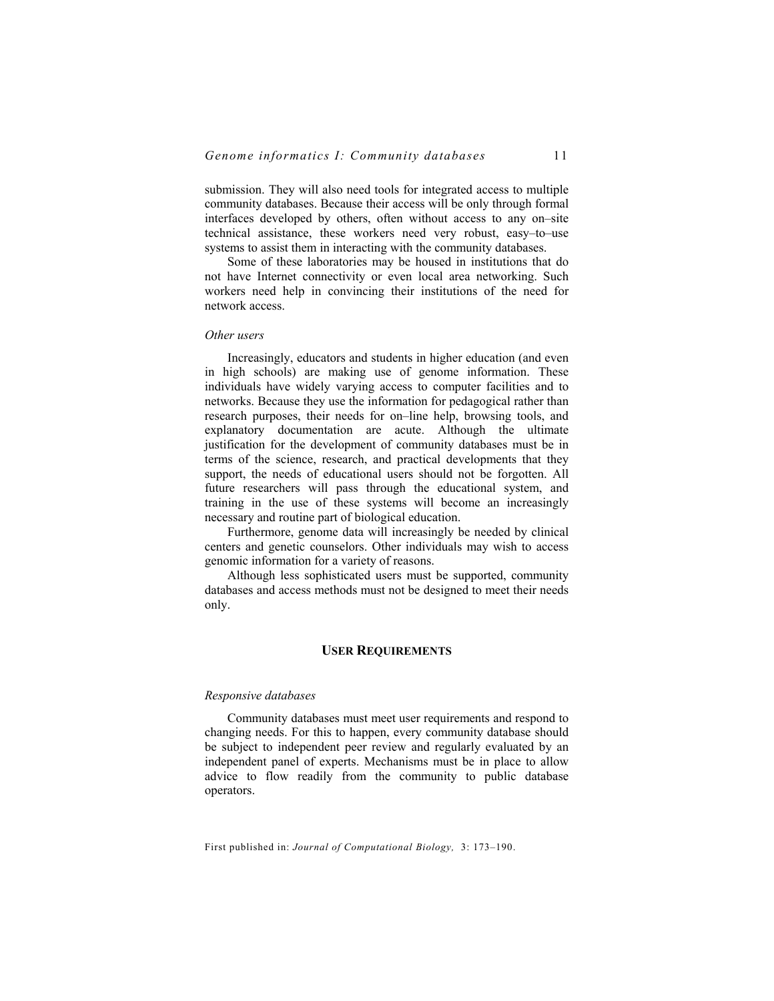<span id="page-12-0"></span>submission. They will also need tools for integrated access to multiple community databases. Because their access will be only through formal interfaces developed by others, often without access to any on–site technical assistance, these workers need very robust, easy–to–use systems to assist them in interacting with the community databases.

Some of these laboratories may be housed in institutions that do not have Internet connectivity or even local area networking. Such workers need help in convincing their institutions of the need for network access.

#### *Other users*

Increasingly, educators and students in higher education (and even in high schools) are making use of genome information. These individuals have widely varying access to computer facilities and to networks. Because they use the information for pedagogical rather than research purposes, their needs for on–line help, browsing tools, and explanatory documentation are acute. Although the ultimate justification for the development of community databases must be in terms of the science, research, and practical developments that they support, the needs of educational users should not be forgotten. All future researchers will pass through the educational system, and training in the use of these systems will become an increasingly necessary and routine part of biological education.

Furthermore, genome data will increasingly be needed by clinical centers and genetic counselors. Other individuals may wish to access genomic information for a variety of reasons.

Although less sophisticated users must be supported, community databases and access methods must not be designed to meet their needs only.

# **USER REQUIREMENTS**

#### *Responsive databases*

Community databases must meet user requirements and respond to changing needs. For this to happen, every community database should be subject to independent peer review and regularly evaluated by an independent panel of experts. Mechanisms must be in place to allow advice to flow readily from the community to public database operators.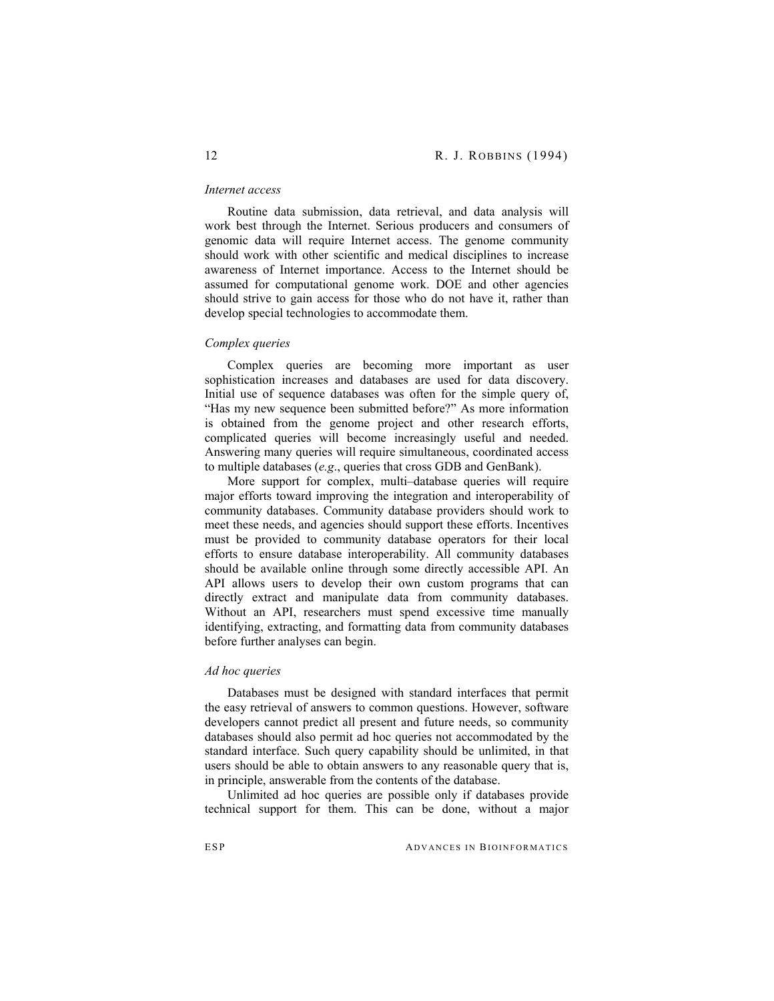#### *Internet access*

Routine data submission, data retrieval, and data analysis will work best through the Internet. Serious producers and consumers of genomic data will require Internet access. The genome community should work with other scientific and medical disciplines to increase awareness of Internet importance. Access to the Internet should be assumed for computational genome work. DOE and other agencies should strive to gain access for those who do not have it, rather than develop special technologies to accommodate them.

# *Complex queries*

Complex queries are becoming more important as user sophistication increases and databases are used for data discovery. Initial use of sequence databases was often for the simple query of, "Has my new sequence been submitted before?" As more information is obtained from the genome project and other research efforts, complicated queries will become increasingly useful and needed. Answering many queries will require simultaneous, coordinated access to multiple databases (*e.g*., queries that cross GDB and GenBank).

More support for complex, multi–database queries will require major efforts toward improving the integration and interoperability of community databases. Community database providers should work to meet these needs, and agencies should support these efforts. Incentives must be provided to community database operators for their local efforts to ensure database interoperability. All community databases should be available online through some directly accessible API. An API allows users to develop their own custom programs that can directly extract and manipulate data from community databases. Without an API, researchers must spend excessive time manually identifying, extracting, and formatting data from community databases before further analyses can begin.

#### *Ad hoc queries*

Databases must be designed with standard interfaces that permit the easy retrieval of answers to common questions. However, software developers cannot predict all present and future needs, so community databases should also permit ad hoc queries not accommodated by the standard interface. Such query capability should be unlimited, in that users should be able to obtain answers to any reasonable query that is, in principle, answerable from the contents of the database.

Unlimited ad hoc queries are possible only if databases provide technical support for them. This can be done, without a major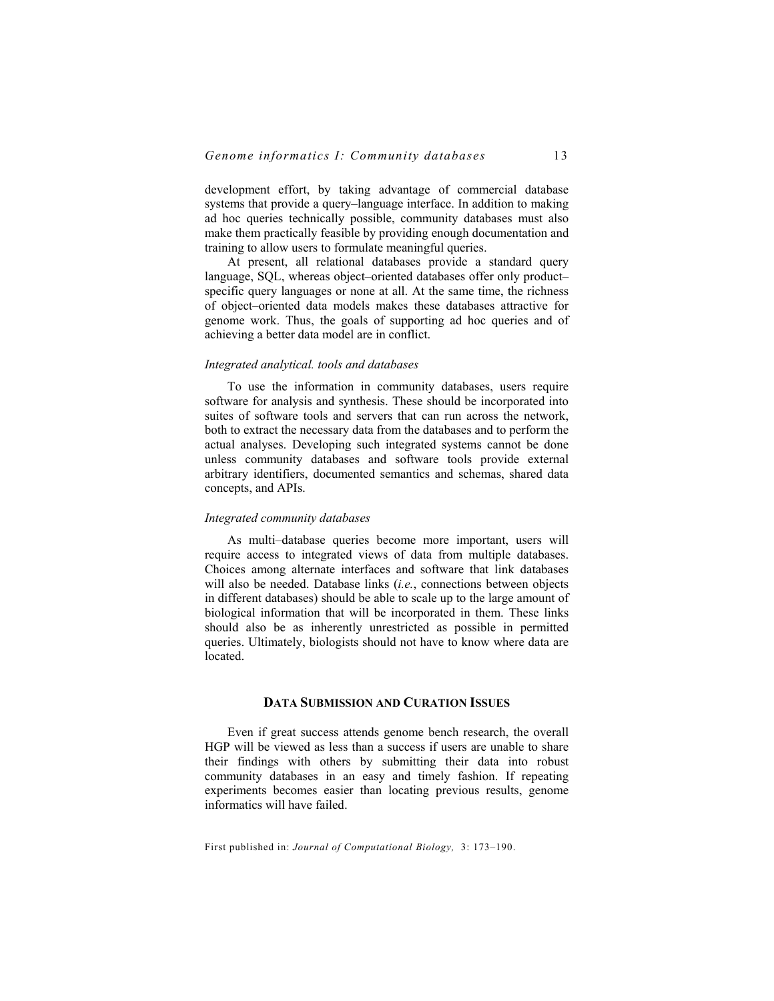<span id="page-14-0"></span>development effort, by taking advantage of commercial database systems that provide a query–language interface. In addition to making ad hoc queries technically possible, community databases must also make them practically feasible by providing enough documentation and training to allow users to formulate meaningful queries.

At present, all relational databases provide a standard query language, SQL, whereas object–oriented databases offer only product– specific query languages or none at all. At the same time, the richness of object–oriented data models makes these databases attractive for genome work. Thus, the goals of supporting ad hoc queries and of achieving a better data model are in conflict.

#### *Integrated analytical. tools and databases*

To use the information in community databases, users require software for analysis and synthesis. These should be incorporated into suites of software tools and servers that can run across the network, both to extract the necessary data from the databases and to perform the actual analyses. Developing such integrated systems cannot be done unless community databases and software tools provide external arbitrary identifiers, documented semantics and schemas, shared data concepts, and APIs.

## *Integrated community databases*

As multi–database queries become more important, users will require access to integrated views of data from multiple databases. Choices among alternate interfaces and software that link databases will also be needed. Database links (*i.e.*, connections between objects in different databases) should be able to scale up to the large amount of biological information that will be incorporated in them. These links should also be as inherently unrestricted as possible in permitted queries. Ultimately, biologists should not have to know where data are **located** 

#### **DATA SUBMISSION AND CURATION ISSUES**

Even if great success attends genome bench research, the overall HGP will be viewed as less than a success if users are unable to share their findings with others by submitting their data into robust community databases in an easy and timely fashion. If repeating experiments becomes easier than locating previous results, genome informatics will have failed.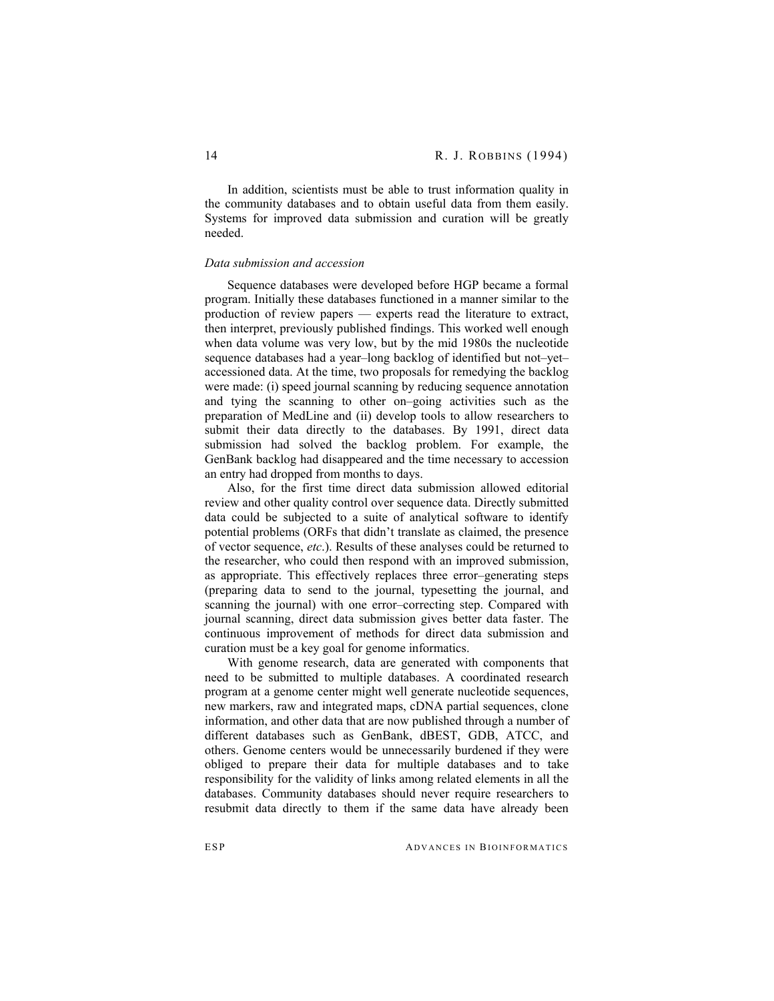In addition, scientists must be able to trust information quality in the community databases and to obtain useful data from them easily. Systems for improved data submission and curation will be greatly needed.

# *Data submission and accession*

Sequence databases were developed before HGP became a formal program. Initially these databases functioned in a manner similar to the production of review papers –– experts read the literature to extract, then interpret, previously published findings. This worked well enough when data volume was very low, but by the mid 1980s the nucleotide sequence databases had a year–long backlog of identified but not–yet– accessioned data. At the time, two proposals for remedying the backlog were made: (i) speed journal scanning by reducing sequence annotation and tying the scanning to other on–going activities such as the preparation of MedLine and (ii) develop tools to allow researchers to submit their data directly to the databases. By 1991, direct data submission had solved the backlog problem. For example, the GenBank backlog had disappeared and the time necessary to accession an entry had dropped from months to days.

Also, for the first time direct data submission allowed editorial review and other quality control over sequence data. Directly submitted data could be subjected to a suite of analytical software to identify potential problems (ORFs that didn't translate as claimed, the presence of vector sequence, *etc*.). Results of these analyses could be returned to the researcher, who could then respond with an improved submission, as appropriate. This effectively replaces three error–generating steps (preparing data to send to the journal, typesetting the journal, and scanning the journal) with one error–correcting step. Compared with journal scanning, direct data submission gives better data faster. The continuous improvement of methods for direct data submission and curation must be a key goal for genome informatics.

With genome research, data are generated with components that need to be submitted to multiple databases. A coordinated research program at a genome center might well generate nucleotide sequences, new markers, raw and integrated maps, cDNA partial sequences, clone information, and other data that are now published through a number of different databases such as GenBank, dBEST, GDB, ATCC, and others. Genome centers would be unnecessarily burdened if they were obliged to prepare their data for multiple databases and to take responsibility for the validity of links among related elements in all the databases. Community databases should never require researchers to resubmit data directly to them if the same data have already been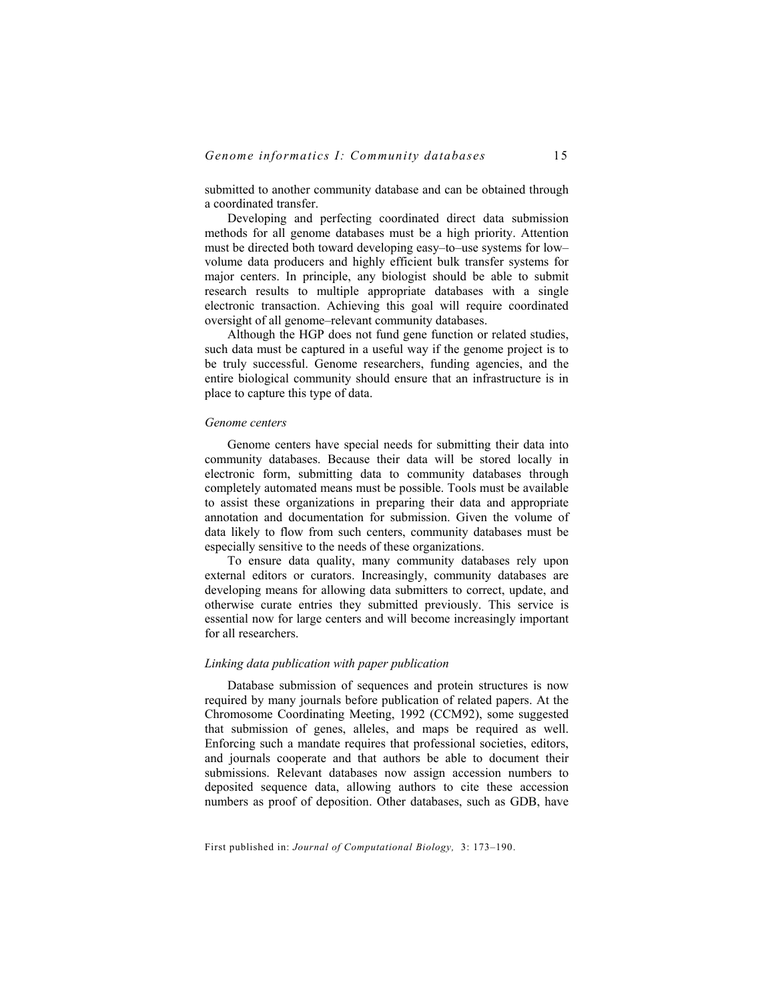submitted to another community database and can be obtained through a coordinated transfer.

Developing and perfecting coordinated direct data submission methods for all genome databases must be a high priority. Attention must be directed both toward developing easy–to–use systems for low– volume data producers and highly efficient bulk transfer systems for major centers. In principle, any biologist should be able to submit research results to multiple appropriate databases with a single electronic transaction. Achieving this goal will require coordinated oversight of all genome–relevant community databases.

Although the HGP does not fund gene function or related studies, such data must be captured in a useful way if the genome project is to be truly successful. Genome researchers, funding agencies, and the entire biological community should ensure that an infrastructure is in place to capture this type of data.

#### *Genome centers*

Genome centers have special needs for submitting their data into community databases. Because their data will be stored locally in electronic form, submitting data to community databases through completely automated means must be possible. Tools must be available to assist these organizations in preparing their data and appropriate annotation and documentation for submission. Given the volume of data likely to flow from such centers, community databases must be especially sensitive to the needs of these organizations.

To ensure data quality, many community databases rely upon external editors or curators. Increasingly, community databases are developing means for allowing data submitters to correct, update, and otherwise curate entries they submitted previously. This service is essential now for large centers and will become increasingly important for all researchers.

#### *Linking data publication with paper publication*

Database submission of sequences and protein structures is now required by many journals before publication of related papers. At the Chromosome Coordinating Meeting, 1992 (CCM92), some suggested that submission of genes, alleles, and maps be required as well. Enforcing such a mandate requires that professional societies, editors, and journals cooperate and that authors be able to document their submissions. Relevant databases now assign accession numbers to deposited sequence data, allowing authors to cite these accession numbers as proof of deposition. Other databases, such as GDB, have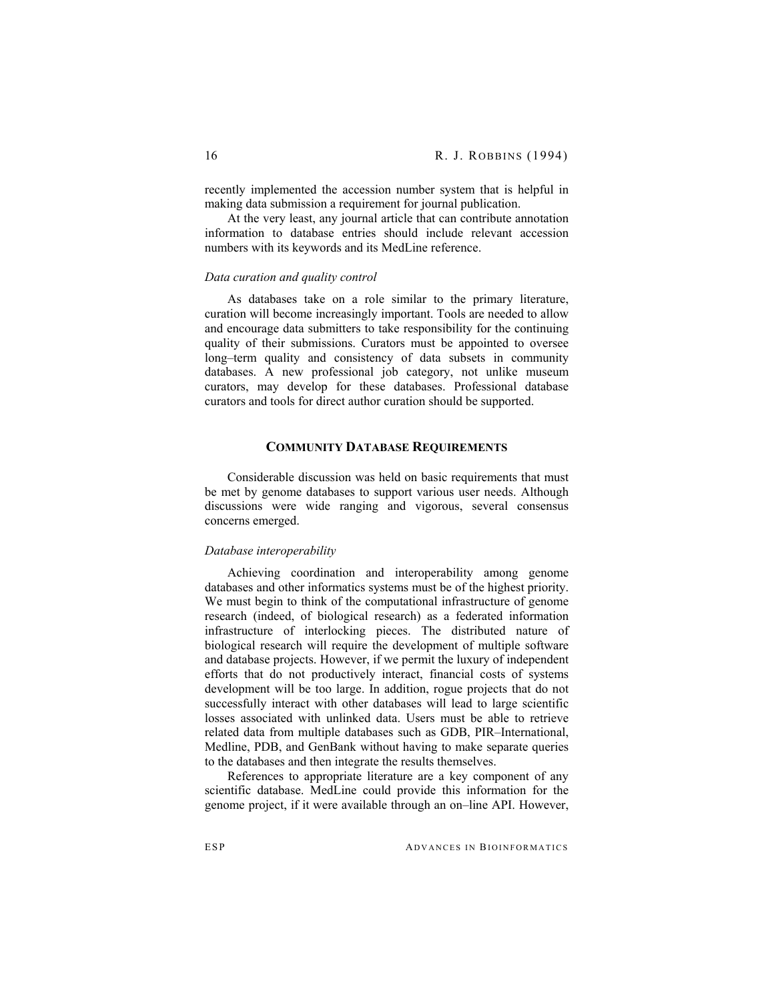<span id="page-17-0"></span>recently implemented the accession number system that is helpful in making data submission a requirement for journal publication.

At the very least, any journal article that can contribute annotation information to database entries should include relevant accession numbers with its keywords and its MedLine reference.

#### *Data curation and quality control*

As databases take on a role similar to the primary literature, curation will become increasingly important. Tools are needed to allow and encourage data submitters to take responsibility for the continuing quality of their submissions. Curators must be appointed to oversee long–term quality and consistency of data subsets in community databases. A new professional job category, not unlike museum curators, may develop for these databases. Professional database curators and tools for direct author curation should be supported.

## **COMMUNITY DATABASE REQUIREMENTS**

Considerable discussion was held on basic requirements that must be met by genome databases to support various user needs. Although discussions were wide ranging and vigorous, several consensus concerns emerged.

# *Database interoperability*

Achieving coordination and interoperability among genome databases and other informatics systems must be of the highest priority. We must begin to think of the computational infrastructure of genome research (indeed, of biological research) as a federated information infrastructure of interlocking pieces. The distributed nature of biological research will require the development of multiple software and database projects. However, if we permit the luxury of independent efforts that do not productively interact, financial costs of systems development will be too large. In addition, rogue projects that do not successfully interact with other databases will lead to large scientific losses associated with unlinked data. Users must be able to retrieve related data from multiple databases such as GDB, PIR–International, Medline, PDB, and GenBank without having to make separate queries to the databases and then integrate the results themselves.

References to appropriate literature are a key component of any scientific database. MedLine could provide this information for the genome project, if it were available through an on–line API. However,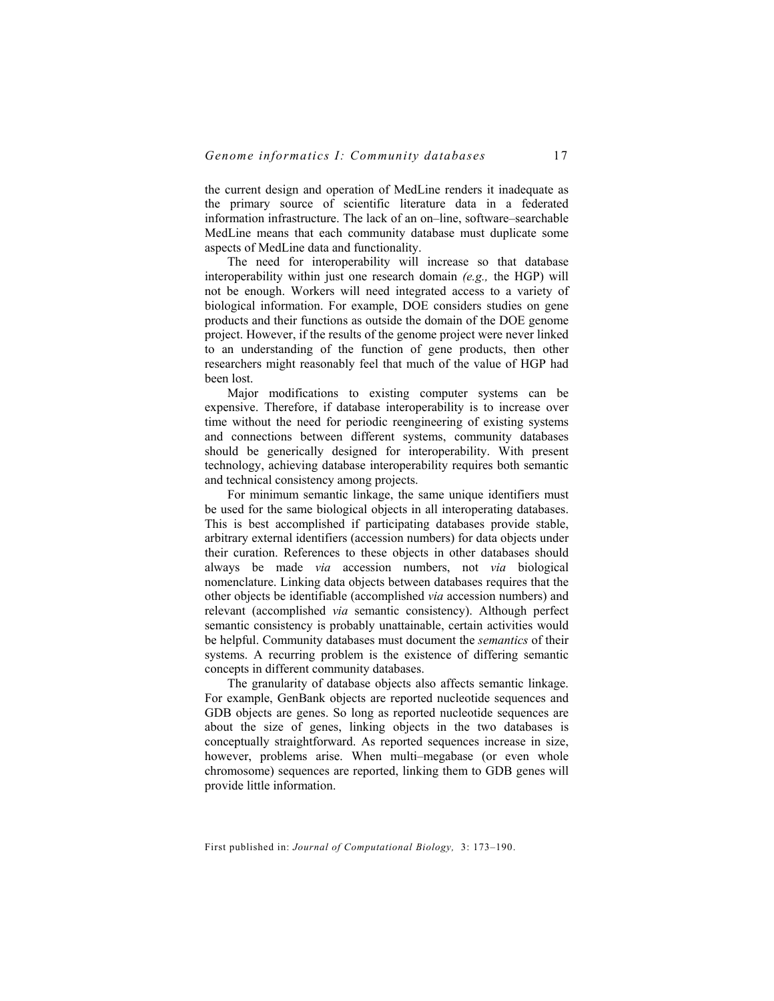the current design and operation of MedLine renders it inadequate as the primary source of scientific literature data in a federated information infrastructure. The lack of an on–line, software–searchable MedLine means that each community database must duplicate some aspects of MedLine data and functionality.

The need for interoperability will increase so that database interoperability within just one research domain *(e.g.,* the HGP) will not be enough. Workers will need integrated access to a variety of biological information. For example, DOE considers studies on gene products and their functions as outside the domain of the DOE genome project. However, if the results of the genome project were never linked to an understanding of the function of gene products, then other researchers might reasonably feel that much of the value of HGP had been lost.

Major modifications to existing computer systems can be expensive. Therefore, if database interoperability is to increase over time without the need for periodic reengineering of existing systems and connections between different systems, community databases should be generically designed for interoperability. With present technology, achieving database interoperability requires both semantic and technical consistency among projects.

For minimum semantic linkage, the same unique identifiers must be used for the same biological objects in all interoperating databases. This is best accomplished if participating databases provide stable, arbitrary external identifiers (accession numbers) for data objects under their curation. References to these objects in other databases should always be made *via* accession numbers, not *via* biological nomenclature. Linking data objects between databases requires that the other objects be identifiable (accomplished *via* accession numbers) and relevant (accomplished *via* semantic consistency). Although perfect semantic consistency is probably unattainable, certain activities would be helpful. Community databases must document the *semantics* of their systems. A recurring problem is the existence of differing semantic concepts in different community databases.

The granularity of database objects also affects semantic linkage. For example, GenBank objects are reported nucleotide sequences and GDB objects are genes. So long as reported nucleotide sequences are about the size of genes, linking objects in the two databases is conceptually straightforward. As reported sequences increase in size, however, problems arise. When multi–megabase (or even whole chromosome) sequences are reported, linking them to GDB genes will provide little information.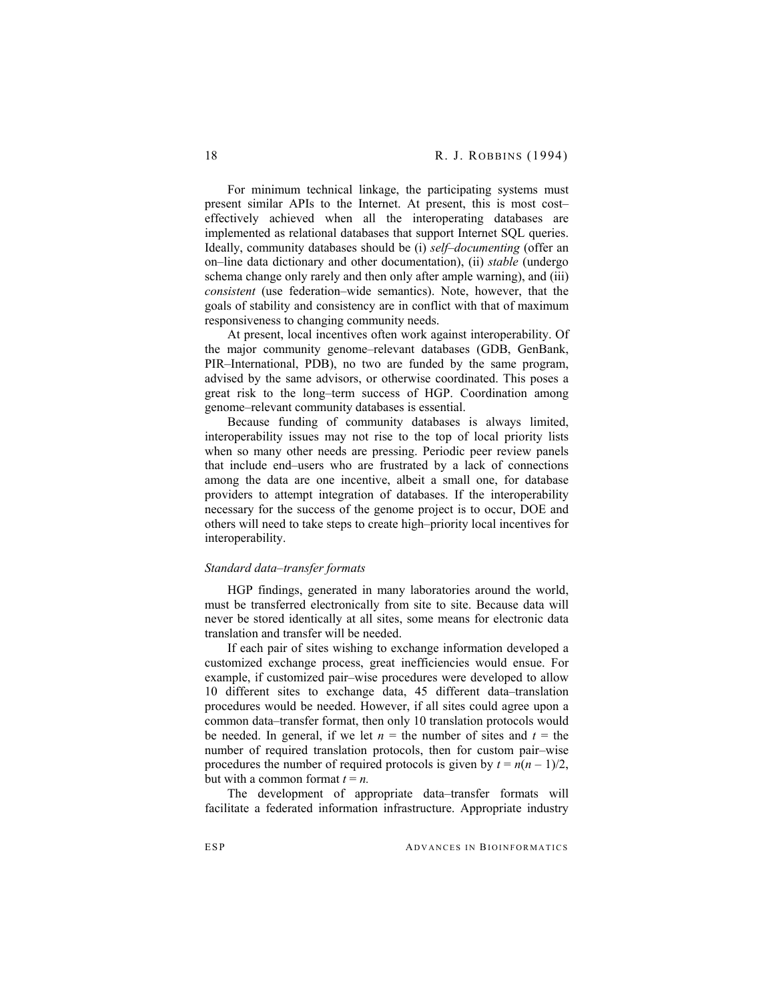For minimum technical linkage, the participating systems must present similar APIs to the Internet. At present, this is most cost– effectively achieved when all the interoperating databases are implemented as relational databases that support Internet SQL queries. Ideally, community databases should be (i) *self–documenting* (offer an on–line data dictionary and other documentation), (ii) *stable* (undergo schema change only rarely and then only after ample warning), and (iii) *consistent* (use federation–wide semantics). Note, however, that the goals of stability and consistency are in conflict with that of maximum responsiveness to changing community needs.

At present, local incentives often work against interoperability. Of the major community genome–relevant databases (GDB, GenBank, PIR–International, PDB), no two are funded by the same program, advised by the same advisors, or otherwise coordinated. This poses a great risk to the long–term success of HGP. Coordination among genome–relevant community databases is essential.

Because funding of community databases is always limited, interoperability issues may not rise to the top of local priority lists when so many other needs are pressing. Periodic peer review panels that include end–users who are frustrated by a lack of connections among the data are one incentive, albeit a small one, for database providers to attempt integration of databases. If the interoperability necessary for the success of the genome project is to occur, DOE and others will need to take steps to create high–priority local incentives for interoperability.

# *Standard data–transfer formats*

HGP findings, generated in many laboratories around the world, must be transferred electronically from site to site. Because data will never be stored identically at all sites, some means for electronic data translation and transfer will be needed.

If each pair of sites wishing to exchange information developed a customized exchange process, great inefficiencies would ensue. For example, if customized pair–wise procedures were developed to allow 10 different sites to exchange data, 45 different data–translation procedures would be needed. However, if all sites could agree upon a common data–transfer format, then only 10 translation protocols would be needed. In general, if we let  $n =$  the number of sites and  $t =$  the number of required translation protocols, then for custom pair–wise procedures the number of required protocols is given by  $t = n(n-1)/2$ , but with a common format  $t = n$ .

The development of appropriate data–transfer formats will facilitate a federated information infrastructure. Appropriate industry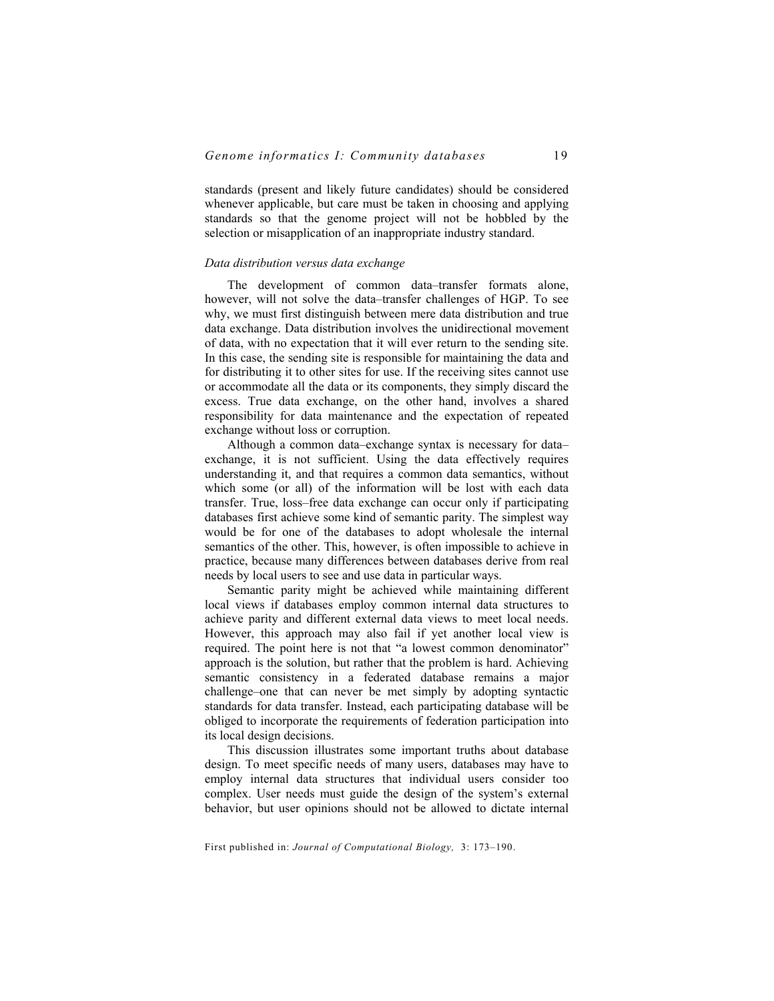standards (present and likely future candidates) should be considered whenever applicable, but care must be taken in choosing and applying standards so that the genome project will not be hobbled by the selection or misapplication of an inappropriate industry standard.

# *Data distribution versus data exchange*

The development of common data–transfer formats alone, however, will not solve the data–transfer challenges of HGP. To see why, we must first distinguish between mere data distribution and true data exchange. Data distribution involves the unidirectional movement of data, with no expectation that it will ever return to the sending site. In this case, the sending site is responsible for maintaining the data and for distributing it to other sites for use. If the receiving sites cannot use or accommodate all the data or its components, they simply discard the excess. True data exchange, on the other hand, involves a shared responsibility for data maintenance and the expectation of repeated exchange without loss or corruption.

Although a common data–exchange syntax is necessary for data– exchange, it is not sufficient. Using the data effectively requires understanding it, and that requires a common data semantics, without which some (or all) of the information will be lost with each data transfer. True, loss–free data exchange can occur only if participating databases first achieve some kind of semantic parity. The simplest way would be for one of the databases to adopt wholesale the internal semantics of the other. This, however, is often impossible to achieve in practice, because many differences between databases derive from real needs by local users to see and use data in particular ways.

Semantic parity might be achieved while maintaining different local views if databases employ common internal data structures to achieve parity and different external data views to meet local needs. However, this approach may also fail if yet another local view is required. The point here is not that "a lowest common denominator" approach is the solution, but rather that the problem is hard. Achieving semantic consistency in a federated database remains a major challenge–one that can never be met simply by adopting syntactic standards for data transfer. Instead, each participating database will be obliged to incorporate the requirements of federation participation into its local design decisions.

This discussion illustrates some important truths about database design. To meet specific needs of many users, databases may have to employ internal data structures that individual users consider too complex. User needs must guide the design of the system's external behavior, but user opinions should not be allowed to dictate internal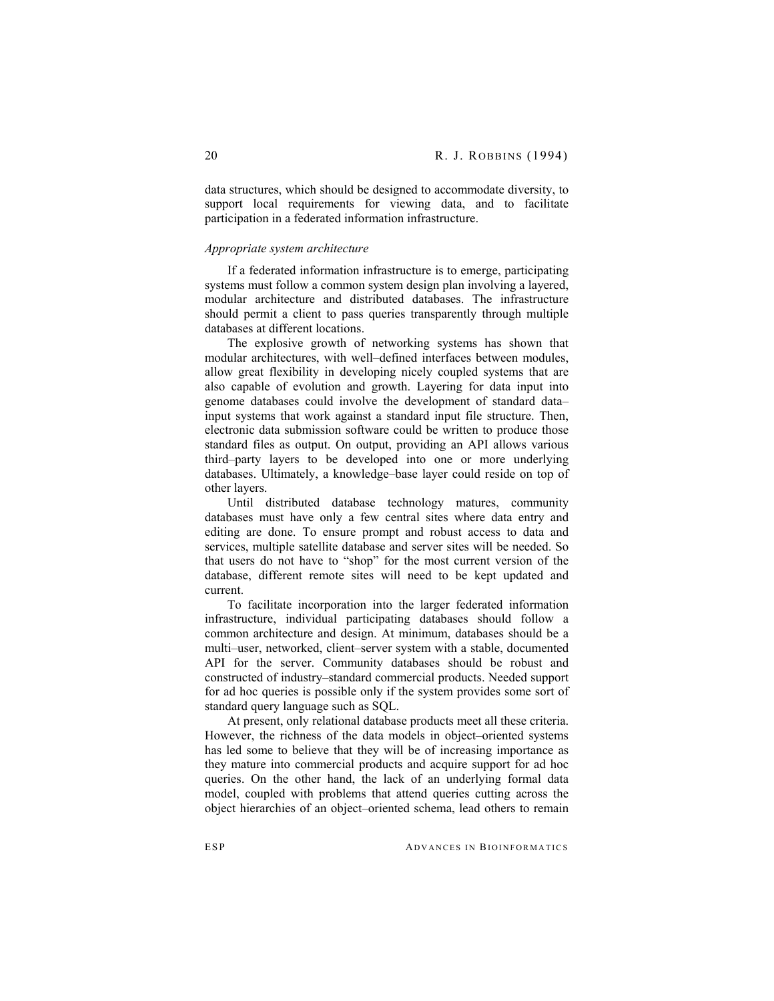data structures, which should be designed to accommodate diversity, to support local requirements for viewing data, and to facilitate participation in a federated information infrastructure.

## *Appropriate system architecture*

If a federated information infrastructure is to emerge, participating systems must follow a common system design plan involving a layered, modular architecture and distributed databases. The infrastructure should permit a client to pass queries transparently through multiple databases at different locations.

The explosive growth of networking systems has shown that modular architectures, with well–defined interfaces between modules, allow great flexibility in developing nicely coupled systems that are also capable of evolution and growth. Layering for data input into genome databases could involve the development of standard data– input systems that work against a standard input file structure. Then, electronic data submission software could be written to produce those standard files as output. On output, providing an API allows various third–party layers to be developed into one or more underlying databases. Ultimately, a knowledge–base layer could reside on top of other layers.

Until distributed database technology matures, community databases must have only a few central sites where data entry and editing are done. To ensure prompt and robust access to data and services, multiple satellite database and server sites will be needed. So that users do not have to "shop" for the most current version of the database, different remote sites will need to be kept updated and current.

To facilitate incorporation into the larger federated information infrastructure, individual participating databases should follow a common architecture and design. At minimum, databases should be a multi–user, networked, client–server system with a stable, documented API for the server. Community databases should be robust and constructed of industry–standard commercial products. Needed support for ad hoc queries is possible only if the system provides some sort of standard query language such as SQL.

At present, only relational database products meet all these criteria. However, the richness of the data models in object–oriented systems has led some to believe that they will be of increasing importance as they mature into commercial products and acquire support for ad hoc queries. On the other hand, the lack of an underlying formal data model, coupled with problems that attend queries cutting across the object hierarchies of an object–oriented schema, lead others to remain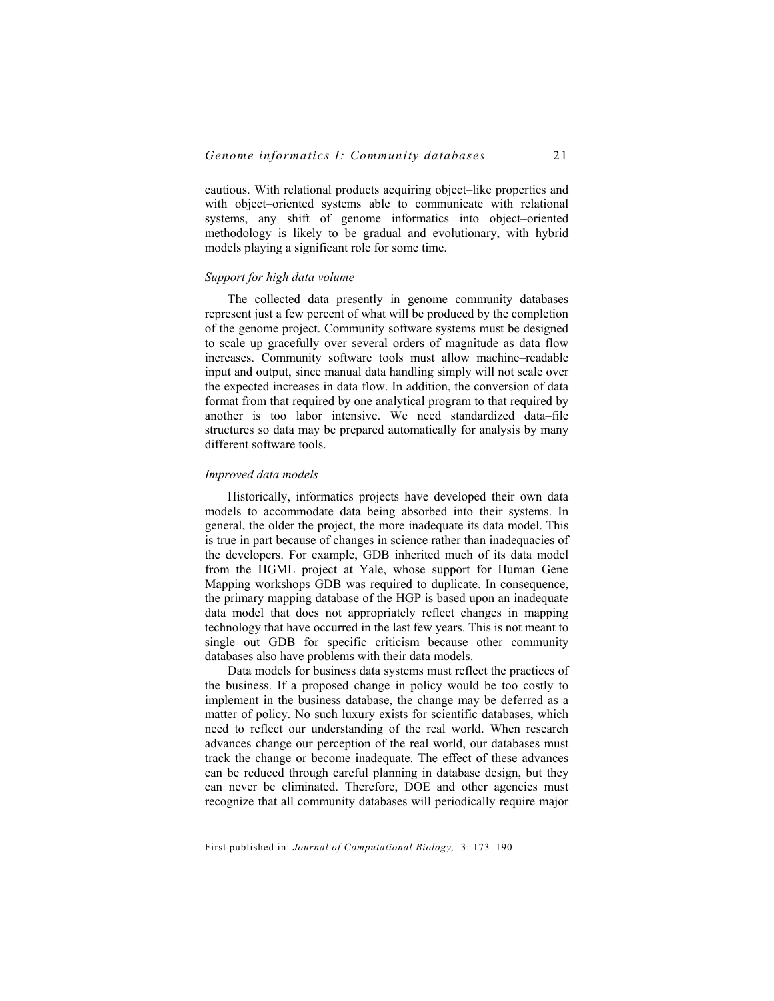cautious. With relational products acquiring object–like properties and with object–oriented systems able to communicate with relational systems, any shift of genome informatics into object–oriented methodology is likely to be gradual and evolutionary, with hybrid models playing a significant role for some time.

# *Support for high data volume*

The collected data presently in genome community databases represent just a few percent of what will be produced by the completion of the genome project. Community software systems must be designed to scale up gracefully over several orders of magnitude as data flow increases. Community software tools must allow machine–readable input and output, since manual data handling simply will not scale over the expected increases in data flow. In addition, the conversion of data format from that required by one analytical program to that required by another is too labor intensive. We need standardized data–file structures so data may be prepared automatically for analysis by many different software tools.

## *Improved data models*

Historically, informatics projects have developed their own data models to accommodate data being absorbed into their systems. In general, the older the project, the more inadequate its data model. This is true in part because of changes in science rather than inadequacies of the developers. For example, GDB inherited much of its data model from the HGML project at Yale, whose support for Human Gene Mapping workshops GDB was required to duplicate. In consequence, the primary mapping database of the HGP is based upon an inadequate data model that does not appropriately reflect changes in mapping technology that have occurred in the last few years. This is not meant to single out GDB for specific criticism because other community databases also have problems with their data models.

Data models for business data systems must reflect the practices of the business. If a proposed change in policy would be too costly to implement in the business database, the change may be deferred as a matter of policy. No such luxury exists for scientific databases, which need to reflect our understanding of the real world. When research advances change our perception of the real world, our databases must track the change or become inadequate. The effect of these advances can be reduced through careful planning in database design, but they can never be eliminated. Therefore, DOE and other agencies must recognize that all community databases will periodically require major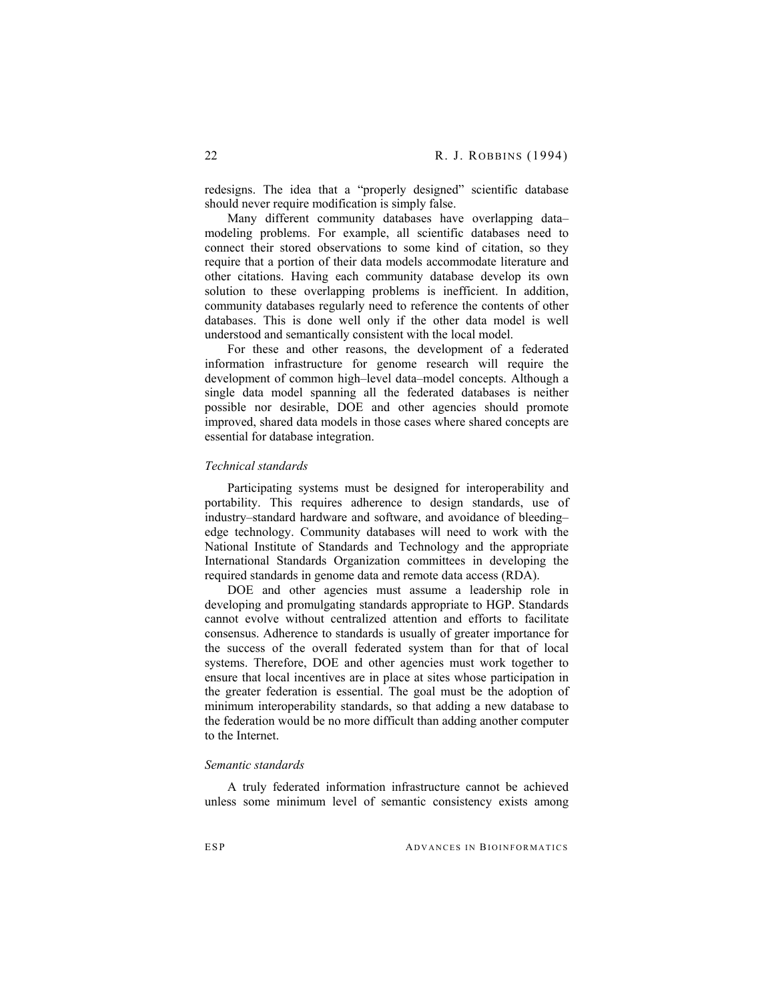redesigns. The idea that a "properly designed" scientific database should never require modification is simply false.

Many different community databases have overlapping data– modeling problems. For example, all scientific databases need to connect their stored observations to some kind of citation, so they require that a portion of their data models accommodate literature and other citations. Having each community database develop its own solution to these overlapping problems is inefficient. In addition, community databases regularly need to reference the contents of other databases. This is done well only if the other data model is well understood and semantically consistent with the local model.

For these and other reasons, the development of a federated information infrastructure for genome research will require the development of common high–level data–model concepts. Although a single data model spanning all the federated databases is neither possible nor desirable, DOE and other agencies should promote improved, shared data models in those cases where shared concepts are essential for database integration.

#### *Technical standards*

Participating systems must be designed for interoperability and portability. This requires adherence to design standards, use of industry–standard hardware and software, and avoidance of bleeding– edge technology. Community databases will need to work with the National Institute of Standards and Technology and the appropriate International Standards Organization committees in developing the required standards in genome data and remote data access (RDA).

DOE and other agencies must assume a leadership role in developing and promulgating standards appropriate to HGP. Standards cannot evolve without centralized attention and efforts to facilitate consensus. Adherence to standards is usually of greater importance for the success of the overall federated system than for that of local systems. Therefore, DOE and other agencies must work together to ensure that local incentives are in place at sites whose participation in the greater federation is essential. The goal must be the adoption of minimum interoperability standards, so that adding a new database to the federation would be no more difficult than adding another computer to the Internet.

# *Semantic standards*

A truly federated information infrastructure cannot be achieved unless some minimum level of semantic consistency exists among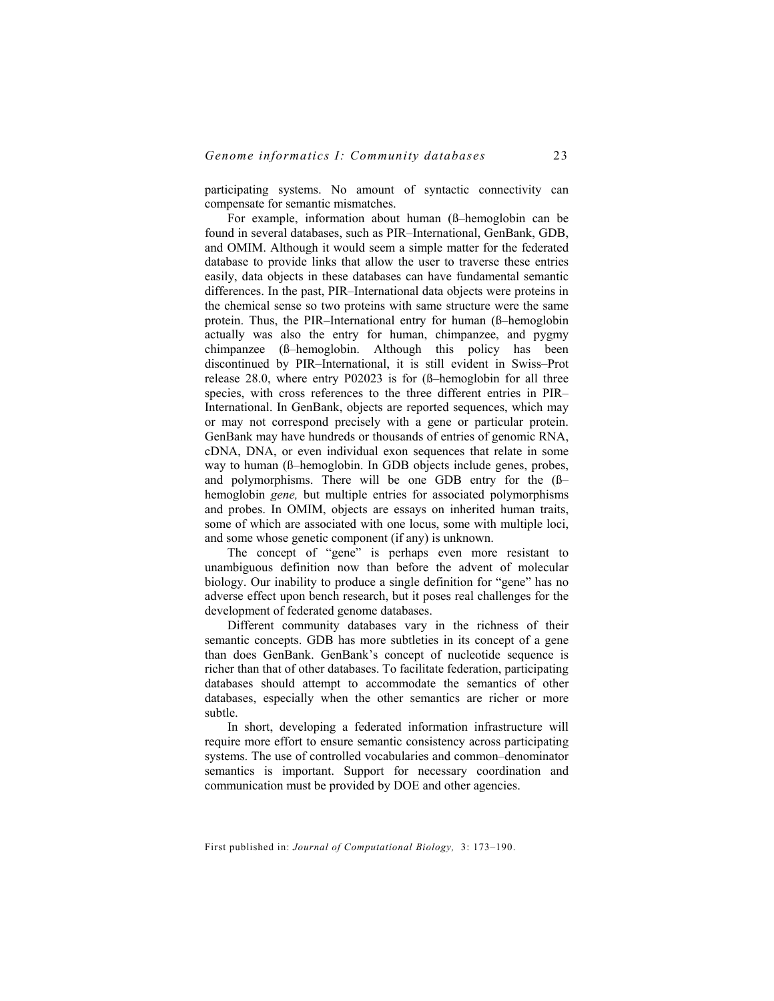participating systems. No amount of syntactic connectivity can compensate for semantic mismatches.

For example, information about human (ß–hemoglobin can be found in several databases, such as PIR–International, GenBank, GDB, and OMIM. Although it would seem a simple matter for the federated database to provide links that allow the user to traverse these entries easily, data objects in these databases can have fundamental semantic differences. In the past, PIR–International data objects were proteins in the chemical sense so two proteins with same structure were the same protein. Thus, the PIR–International entry for human (ß–hemoglobin actually was also the entry for human, chimpanzee, and pygmy chimpanzee (ß–hemoglobin. Although this policy has been discontinued by PIR–International, it is still evident in Swiss–Prot release 28.0, where entry P02023 is for (ß–hemoglobin for all three species, with cross references to the three different entries in PIR– International. In GenBank, objects are reported sequences, which may or may not correspond precisely with a gene or particular protein. GenBank may have hundreds or thousands of entries of genomic RNA, cDNA, DNA, or even individual exon sequences that relate in some way to human (ß–hemoglobin. In GDB objects include genes, probes, and polymorphisms. There will be one GDB entry for the (ß– hemoglobin *gene,* but multiple entries for associated polymorphisms and probes. In OMIM, objects are essays on inherited human traits, some of which are associated with one locus, some with multiple loci, and some whose genetic component (if any) is unknown.

The concept of "gene" is perhaps even more resistant to unambiguous definition now than before the advent of molecular biology. Our inability to produce a single definition for "gene" has no adverse effect upon bench research, but it poses real challenges for the development of federated genome databases.

Different community databases vary in the richness of their semantic concepts. GDB has more subtleties in its concept of a gene than does GenBank. GenBank's concept of nucleotide sequence is richer than that of other databases. To facilitate federation, participating databases should attempt to accommodate the semantics of other databases, especially when the other semantics are richer or more subtle.

In short, developing a federated information infrastructure will require more effort to ensure semantic consistency across participating systems. The use of controlled vocabularies and common–denominator semantics is important. Support for necessary coordination and communication must be provided by DOE and other agencies.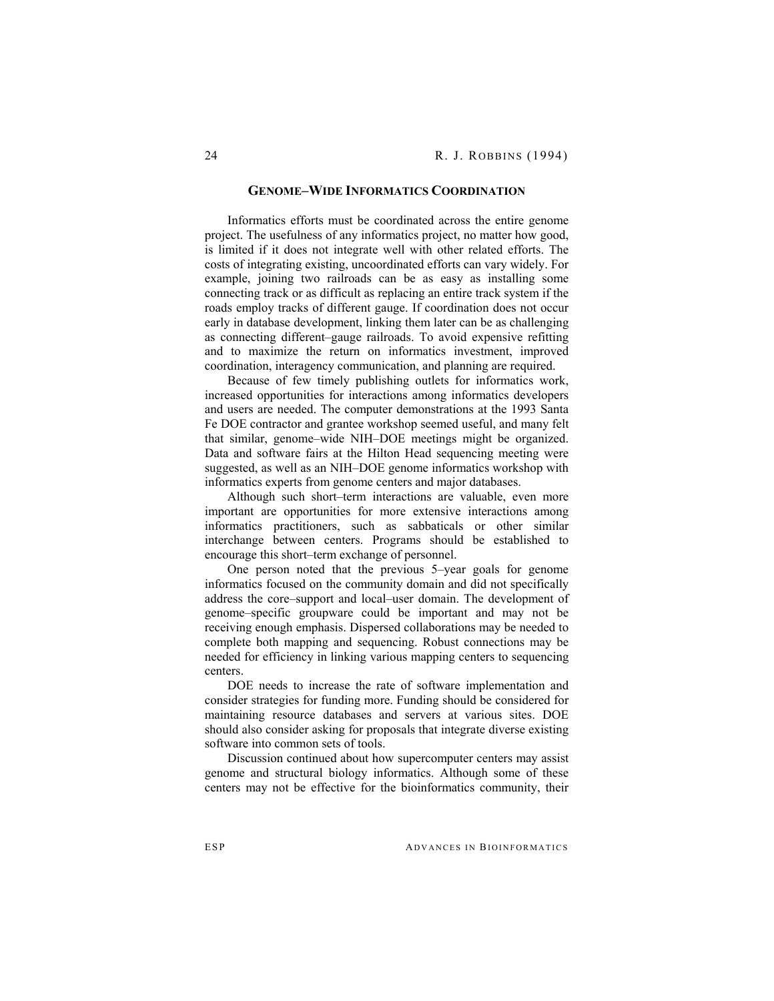#### **GENOME–WIDE INFORMATICS COORDINATION**

<span id="page-25-0"></span>Informatics efforts must be coordinated across the entire genome project. The usefulness of any informatics project, no matter how good, is limited if it does not integrate well with other related efforts. The costs of integrating existing, uncoordinated efforts can vary widely. For example, joining two railroads can be as easy as installing some connecting track or as difficult as replacing an entire track system if the roads employ tracks of different gauge. If coordination does not occur early in database development, linking them later can be as challenging as connecting different–gauge railroads. To avoid expensive refitting and to maximize the return on informatics investment, improved coordination, interagency communication, and planning are required.

Because of few timely publishing outlets for informatics work, increased opportunities for interactions among informatics developers and users are needed. The computer demonstrations at the 1993 Santa Fe DOE contractor and grantee workshop seemed useful, and many felt that similar, genome–wide NIH–DOE meetings might be organized. Data and software fairs at the Hilton Head sequencing meeting were suggested, as well as an NIH–DOE genome informatics workshop with informatics experts from genome centers and major databases.

Although such short–term interactions are valuable, even more important are opportunities for more extensive interactions among informatics practitioners, such as sabbaticals or other similar interchange between centers. Programs should be established to encourage this short–term exchange of personnel.

One person noted that the previous 5–year goals for genome informatics focused on the community domain and did not specifically address the core–support and local–user domain. The development of genome–specific groupware could be important and may not be receiving enough emphasis. Dispersed collaborations may be needed to complete both mapping and sequencing. Robust connections may be needed for efficiency in linking various mapping centers to sequencing centers.

DOE needs to increase the rate of software implementation and consider strategies for funding more. Funding should be considered for maintaining resource databases and servers at various sites. DOE should also consider asking for proposals that integrate diverse existing software into common sets of tools.

Discussion continued about how supercomputer centers may assist genome and structural biology informatics. Although some of these centers may not be effective for the bioinformatics community, their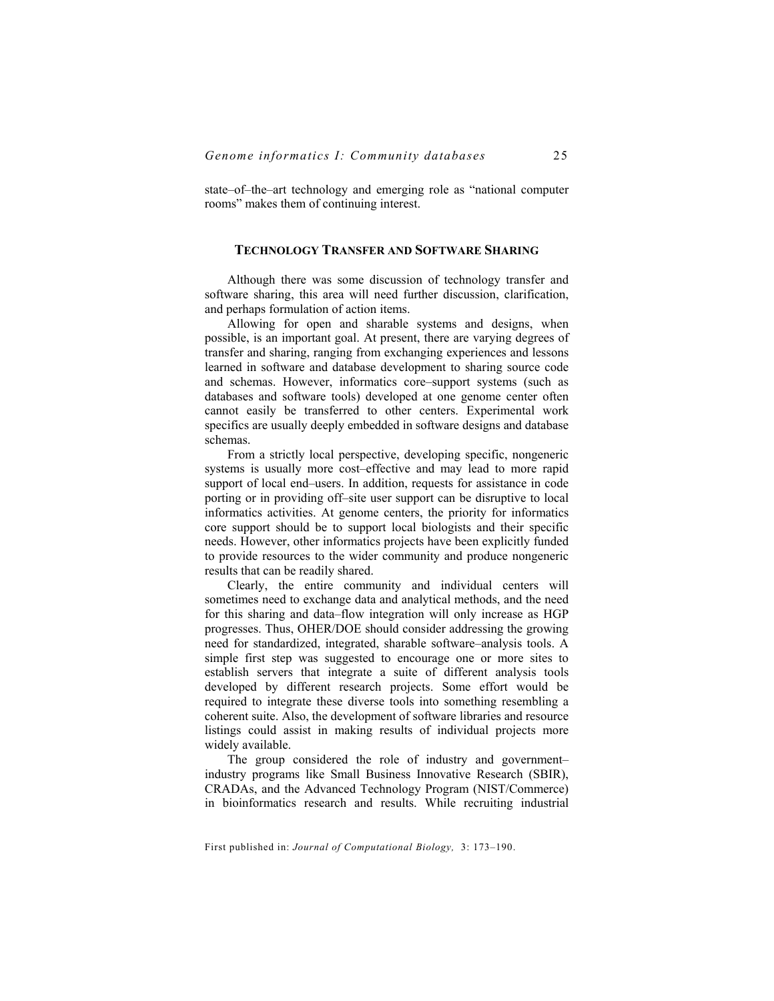<span id="page-26-0"></span>state–of–the–art technology and emerging role as "national computer rooms" makes them of continuing interest.

#### **TECHNOLOGY TRANSFER AND SOFTWARE SHARING**

Although there was some discussion of technology transfer and software sharing, this area will need further discussion, clarification, and perhaps formulation of action items.

Allowing for open and sharable systems and designs, when possible, is an important goal. At present, there are varying degrees of transfer and sharing, ranging from exchanging experiences and lessons learned in software and database development to sharing source code and schemas. However, informatics core–support systems (such as databases and software tools) developed at one genome center often cannot easily be transferred to other centers. Experimental work specifics are usually deeply embedded in software designs and database schemas.

From a strictly local perspective, developing specific, nongeneric systems is usually more cost–effective and may lead to more rapid support of local end–users. In addition, requests for assistance in code porting or in providing off–site user support can be disruptive to local informatics activities. At genome centers, the priority for informatics core support should be to support local biologists and their specific needs. However, other informatics projects have been explicitly funded to provide resources to the wider community and produce nongeneric results that can be readily shared.

Clearly, the entire community and individual centers will sometimes need to exchange data and analytical methods, and the need for this sharing and data–flow integration will only increase as HGP progresses. Thus, OHER/DOE should consider addressing the growing need for standardized, integrated, sharable software–analysis tools. A simple first step was suggested to encourage one or more sites to establish servers that integrate a suite of different analysis tools developed by different research projects. Some effort would be required to integrate these diverse tools into something resembling a coherent suite. Also, the development of software libraries and resource listings could assist in making results of individual projects more widely available.

The group considered the role of industry and government– industry programs like Small Business Innovative Research (SBIR), CRADAs, and the Advanced Technology Program (NIST/Commerce) in bioinformatics research and results. While recruiting industrial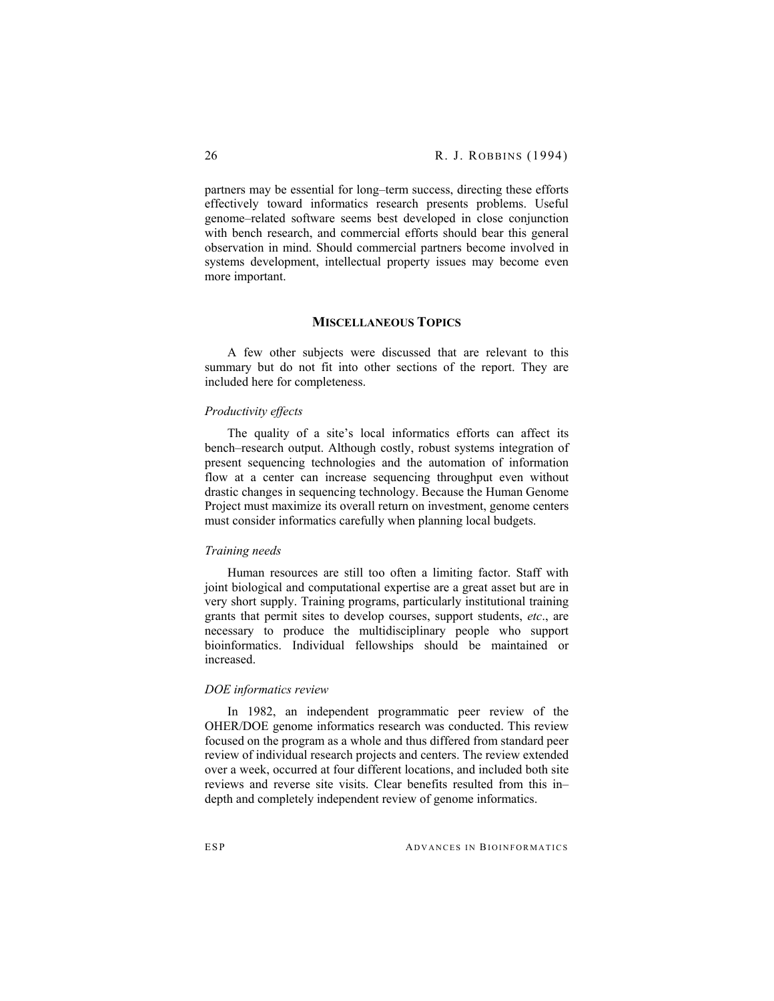<span id="page-27-0"></span>partners may be essential for long–term success, directing these efforts effectively toward informatics research presents problems. Useful genome–related software seems best developed in close conjunction with bench research, and commercial efforts should bear this general observation in mind. Should commercial partners become involved in systems development, intellectual property issues may become even more important.

# **MISCELLANEOUS TOPICS**

A few other subjects were discussed that are relevant to this summary but do not fit into other sections of the report. They are included here for completeness.

# *Productivity effects*

The quality of a site's local informatics efforts can affect its bench–research output. Although costly, robust systems integration of present sequencing technologies and the automation of information flow at a center can increase sequencing throughput even without drastic changes in sequencing technology. Because the Human Genome Project must maximize its overall return on investment, genome centers must consider informatics carefully when planning local budgets.

#### *Training needs*

Human resources are still too often a limiting factor. Staff with joint biological and computational expertise are a great asset but are in very short supply. Training programs, particularly institutional training grants that permit sites to develop courses, support students, *etc*., are necessary to produce the multidisciplinary people who support bioinformatics. Individual fellowships should be maintained or increased.

#### *DOE informatics review*

In 1982, an independent programmatic peer review of the OHER/DOE genome informatics research was conducted. This review focused on the program as a whole and thus differed from standard peer review of individual research projects and centers. The review extended over a week, occurred at four different locations, and included both site reviews and reverse site visits. Clear benefits resulted from this in– depth and completely independent review of genome informatics.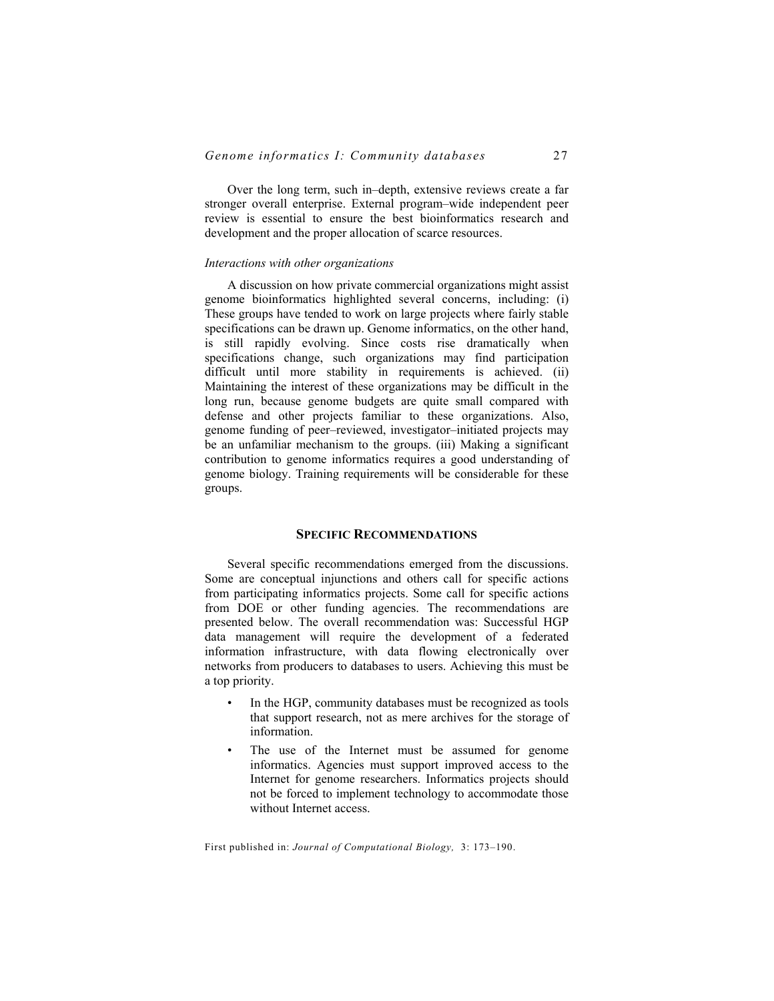<span id="page-28-0"></span>Over the long term, such in–depth, extensive reviews create a far stronger overall enterprise. External program–wide independent peer review is essential to ensure the best bioinformatics research and development and the proper allocation of scarce resources.

# *Interactions with other organizations*

A discussion on how private commercial organizations might assist genome bioinformatics highlighted several concerns, including: (i) These groups have tended to work on large projects where fairly stable specifications can be drawn up. Genome informatics, on the other hand, is still rapidly evolving. Since costs rise dramatically when specifications change, such organizations may find participation difficult until more stability in requirements is achieved. (ii) Maintaining the interest of these organizations may be difficult in the long run, because genome budgets are quite small compared with defense and other projects familiar to these organizations. Also, genome funding of peer–reviewed, investigator–initiated projects may be an unfamiliar mechanism to the groups. (iii) Making a significant contribution to genome informatics requires a good understanding of genome biology. Training requirements will be considerable for these groups.

# **SPECIFIC RECOMMENDATIONS**

Several specific recommendations emerged from the discussions. Some are conceptual injunctions and others call for specific actions from participating informatics projects. Some call for specific actions from DOE or other funding agencies. The recommendations are presented below. The overall recommendation was: Successful HGP data management will require the development of a federated information infrastructure, with data flowing electronically over networks from producers to databases to users. Achieving this must be a top priority.

- In the HGP, community databases must be recognized as tools that support research, not as mere archives for the storage of information.
- The use of the Internet must be assumed for genome informatics. Agencies must support improved access to the Internet for genome researchers. Informatics projects should not be forced to implement technology to accommodate those without Internet access.

First published in: *Journal of Computational Biology,* 3: 173–190.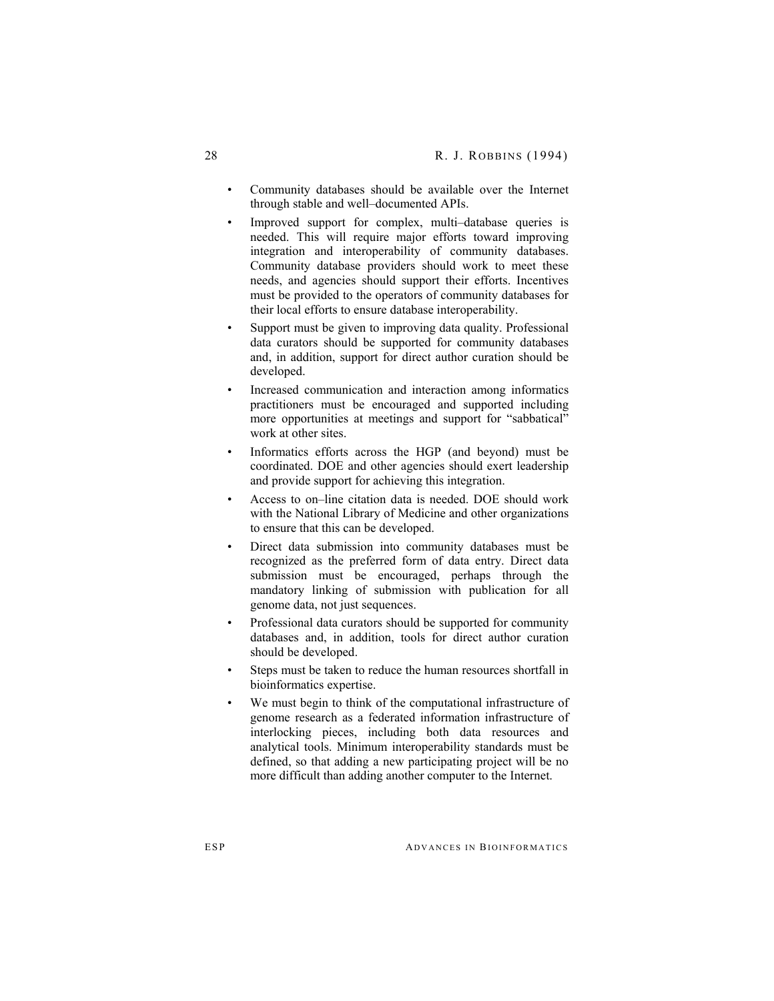- Community databases should be available over the Internet through stable and well–documented APIs.
- Improved support for complex, multi-database queries is needed. This will require major efforts toward improving integration and interoperability of community databases. Community database providers should work to meet these needs, and agencies should support their efforts. Incentives must be provided to the operators of community databases for their local efforts to ensure database interoperability.
- Support must be given to improving data quality. Professional data curators should be supported for community databases and, in addition, support for direct author curation should be developed.
- Increased communication and interaction among informatics practitioners must be encouraged and supported including more opportunities at meetings and support for "sabbatical" work at other sites.
- Informatics efforts across the HGP (and beyond) must be coordinated. DOE and other agencies should exert leadership and provide support for achieving this integration.
- Access to on–line citation data is needed. DOE should work with the National Library of Medicine and other organizations to ensure that this can be developed.
- Direct data submission into community databases must be recognized as the preferred form of data entry. Direct data submission must be encouraged, perhaps through the mandatory linking of submission with publication for all genome data, not just sequences.
- Professional data curators should be supported for community databases and, in addition, tools for direct author curation should be developed.
- Steps must be taken to reduce the human resources shortfall in bioinformatics expertise.
- We must begin to think of the computational infrastructure of genome research as a federated information infrastructure of interlocking pieces, including both data resources and analytical tools. Minimum interoperability standards must be defined, so that adding a new participating project will be no more difficult than adding another computer to the Internet.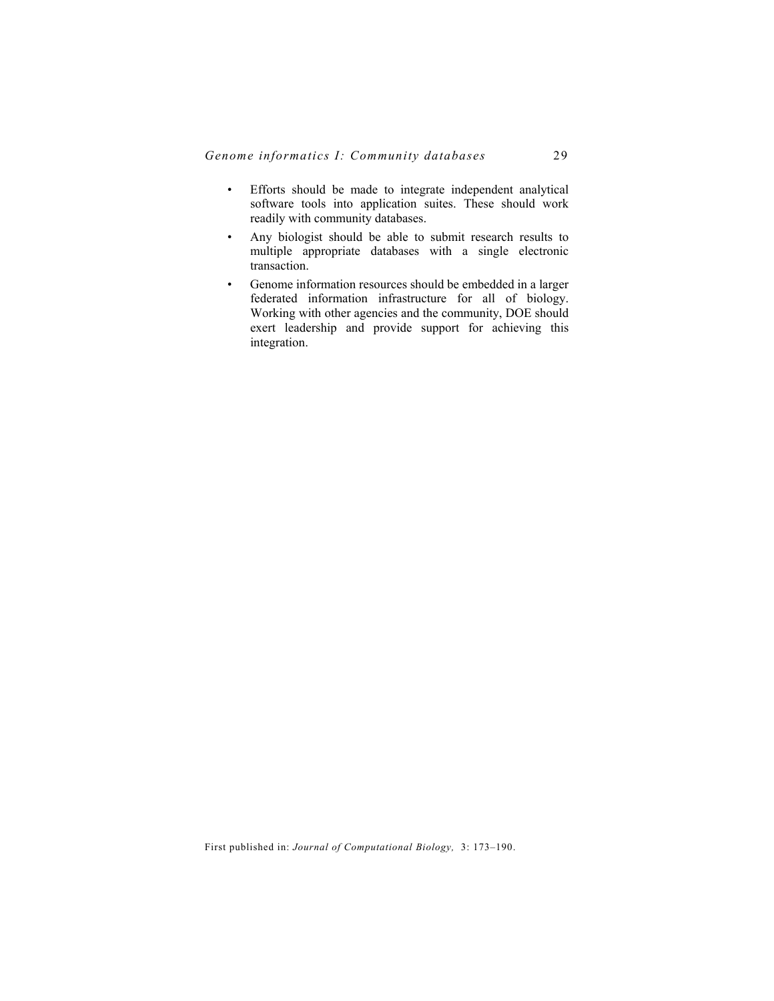- Efforts should be made to integrate independent analytical software tools into application suites. These should work readily with community databases.
- Any biologist should be able to submit research results to multiple appropriate databases with a single electronic transaction.
- Genome information resources should be embedded in a larger federated information infrastructure for all of biology. Working with other agencies and the community, DOE should exert leadership and provide support for achieving this integration.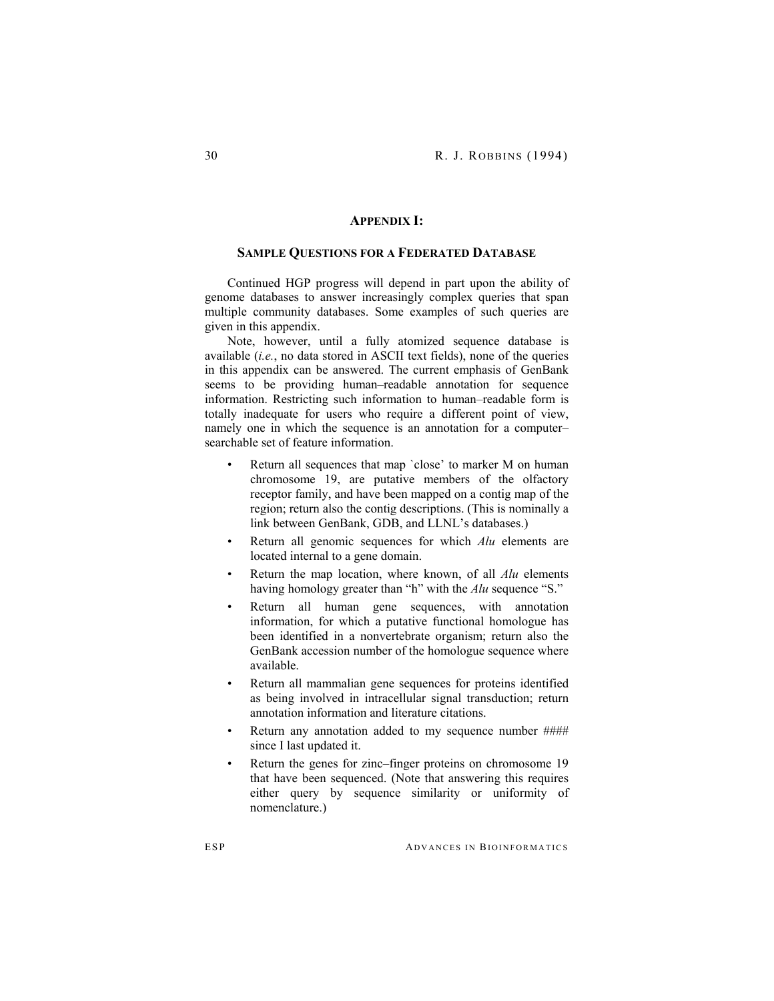# **APPENDIX I:**

#### <span id="page-31-0"></span>**SAMPLE QUESTIONS FOR A FEDERATED DATABASE**

Continued HGP progress will depend in part upon the ability of genome databases to answer increasingly complex queries that span multiple community databases. Some examples of such queries are given in this appendix.

Note, however, until a fully atomized sequence database is available (*i.e.*, no data stored in ASCII text fields), none of the queries in this appendix can be answered. The current emphasis of GenBank seems to be providing human–readable annotation for sequence information. Restricting such information to human–readable form is totally inadequate for users who require a different point of view, namely one in which the sequence is an annotation for a computer– searchable set of feature information.

- Return all sequences that map 'close' to marker M on human chromosome 19, are putative members of the olfactory receptor family, and have been mapped on a contig map of the region; return also the contig descriptions. (This is nominally a link between GenBank, GDB, and LLNL's databases.)
- Return all genomic sequences for which *Alu* elements are located internal to a gene domain.
- Return the map location, where known, of all *Alu* elements having homology greater than "h" with the *Alu* sequence "S."
- Return all human gene sequences, with annotation information, for which a putative functional homologue has been identified in a nonvertebrate organism; return also the GenBank accession number of the homologue sequence where available.
- Return all mammalian gene sequences for proteins identified as being involved in intracellular signal transduction; return annotation information and literature citations.
- Return any annotation added to my sequence number #### since I last updated it.
- Return the genes for zinc–finger proteins on chromosome 19 that have been sequenced. (Note that answering this requires either query by sequence similarity or uniformity of nomenclature.)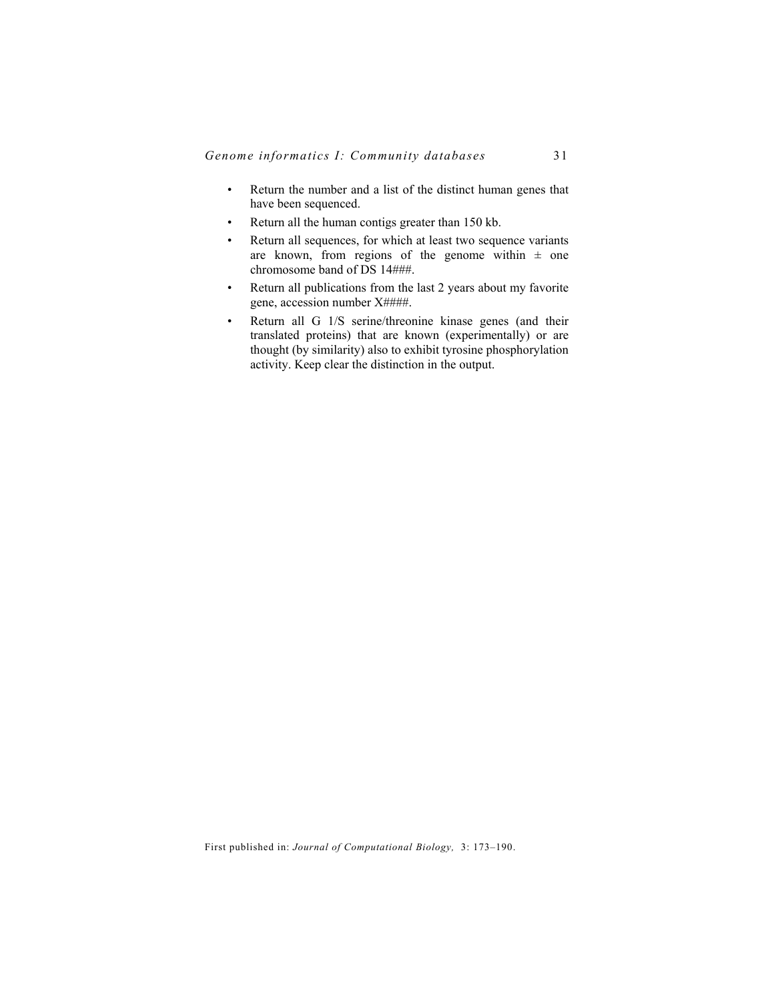- Return the number and a list of the distinct human genes that have been sequenced.
- Return all the human contigs greater than 150 kb.
- Return all sequences, for which at least two sequence variants are known, from regions of the genome within  $\pm$  one chromosome band of DS 14###.
- Return all publications from the last 2 years about my favorite gene, accession number X####.
- Return all G 1/S serine/threonine kinase genes (and their translated proteins) that are known (experimentally) or are thought (by similarity) also to exhibit tyrosine phosphorylation activity. Keep clear the distinction in the output.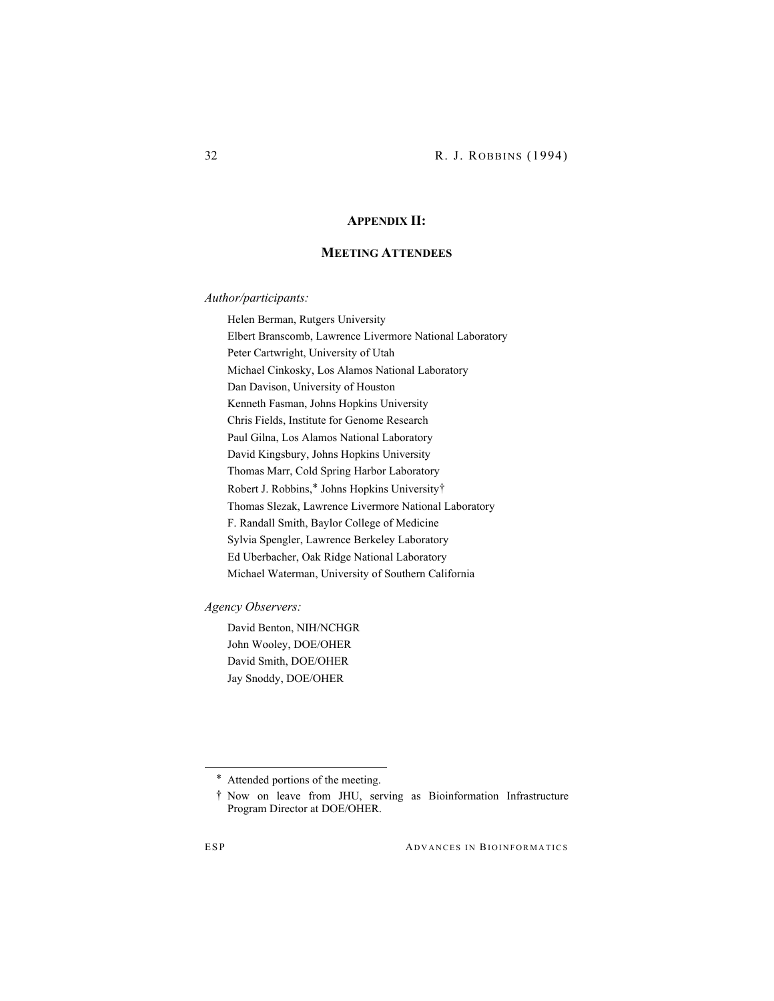# **APPENDIX II:**

# **MEETING ATTENDEES**

<span id="page-33-0"></span>*Author/participants:* 

Helen Berman, Rutgers University Elbert Branscomb, Lawrence Livermore National Laboratory Peter Cartwright, University of Utah Michael Cinkosky, Los Alamos National Laboratory Dan Davison, University of Houston Kenneth Fasman, Johns Hopkins University Chris Fields, Institute for Genome Research Paul Gilna, Los Alamos National Laboratory David Kingsbury, Johns Hopkins University Thomas Marr, Cold Spring Harbor Laboratory Robert J. Robbins,[\\* J](#page-33-1)ohns Hopkins University[†](#page-33-2)  Thomas Slezak, Lawrence Livermore National Laboratory F. Randall Smith, Baylor College of Medicine Sylvia Spengler, Lawrence Berkeley Laboratory Ed Uberbacher, Oak Ridge National Laboratory Michael Waterman, University of Southern California

# *Agency Observers:*

David Benton, NIH/NCHGR John Wooley, DOE/OHER David Smith, DOE/OHER Jay Snoddy, DOE/OHER

<span id="page-33-1"></span> <sup>\*</sup> Attended portions of the meeting.

<span id="page-33-2"></span><sup>†</sup> Now on leave from JHU, serving as Bioinformation Infrastructure Program Director at DOE/OHER.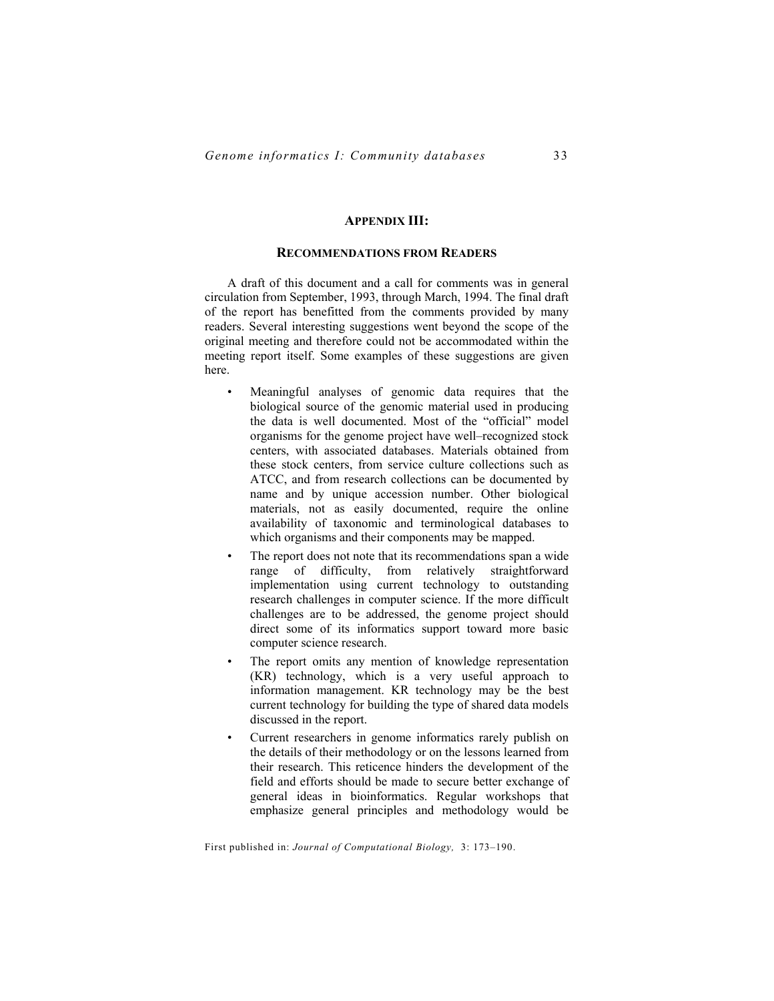# **APPENDIX III:**

# **RECOMMENDATIONS FROM READERS**

<span id="page-34-0"></span>A draft of this document and a call for comments was in general circulation from September, 1993, through March, 1994. The final draft of the report has benefitted from the comments provided by many readers. Several interesting suggestions went beyond the scope of the original meeting and therefore could not be accommodated within the meeting report itself. Some examples of these suggestions are given here.

- Meaningful analyses of genomic data requires that the biological source of the genomic material used in producing the data is well documented. Most of the "official" model organisms for the genome project have well–recognized stock centers, with associated databases. Materials obtained from these stock centers, from service culture collections such as ATCC, and from research collections can be documented by name and by unique accession number. Other biological materials, not as easily documented, require the online availability of taxonomic and terminological databases to which organisms and their components may be mapped.
- The report does not note that its recommendations span a wide range of difficulty, from relatively straightforward implementation using current technology to outstanding research challenges in computer science. If the more difficult challenges are to be addressed, the genome project should direct some of its informatics support toward more basic computer science research.
- The report omits any mention of knowledge representation (KR) technology, which is a very useful approach to information management. KR technology may be the best current technology for building the type of shared data models discussed in the report.
- Current researchers in genome informatics rarely publish on the details of their methodology or on the lessons learned from their research. This reticence hinders the development of the field and efforts should be made to secure better exchange of general ideas in bioinformatics. Regular workshops that emphasize general principles and methodology would be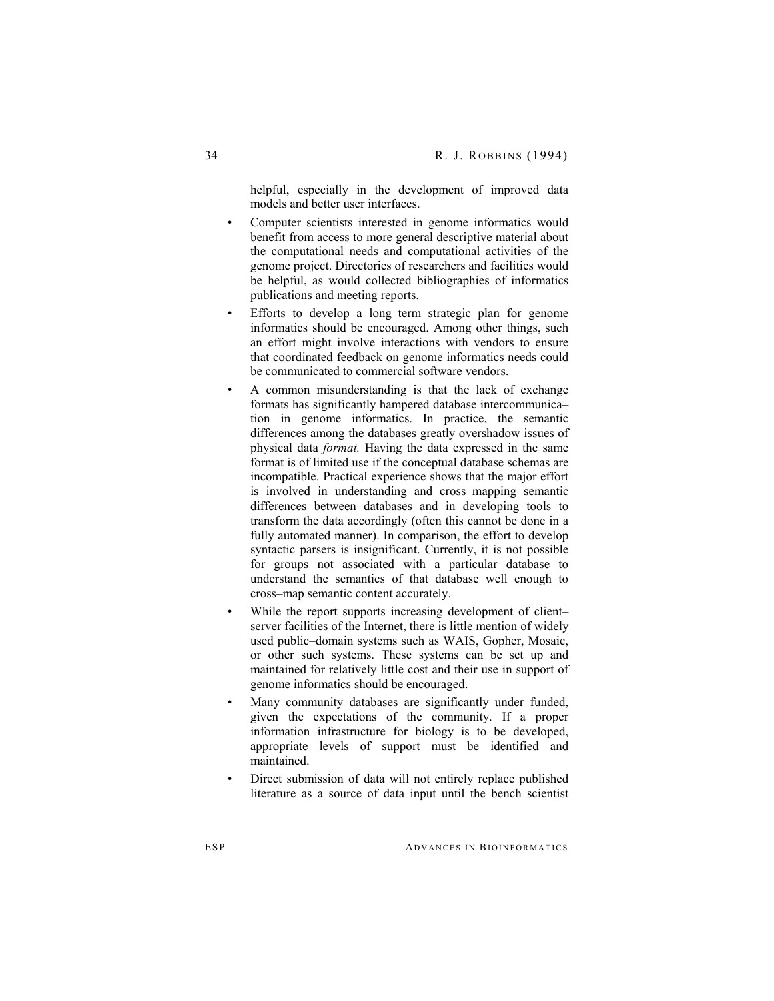helpful, especially in the development of improved data models and better user interfaces.

- Computer scientists interested in genome informatics would benefit from access to more general descriptive material about the computational needs and computational activities of the genome project. Directories of researchers and facilities would be helpful, as would collected bibliographies of informatics publications and meeting reports.
- Efforts to develop a long–term strategic plan for genome informatics should be encouraged. Among other things, such an effort might involve interactions with vendors to ensure that coordinated feedback on genome informatics needs could be communicated to commercial software vendors.
- A common misunderstanding is that the lack of exchange formats has significantly hampered database intercommunica– tion in genome informatics. In practice, the semantic differences among the databases greatly overshadow issues of physical data *format.* Having the data expressed in the same format is of limited use if the conceptual database schemas are incompatible. Practical experience shows that the major effort is involved in understanding and cross–mapping semantic differences between databases and in developing tools to transform the data accordingly (often this cannot be done in a fully automated manner). In comparison, the effort to develop syntactic parsers is insignificant. Currently, it is not possible for groups not associated with a particular database to understand the semantics of that database well enough to cross–map semantic content accurately.
- While the report supports increasing development of client– server facilities of the Internet, there is little mention of widely used public–domain systems such as WAIS, Gopher, Mosaic, or other such systems. These systems can be set up and maintained for relatively little cost and their use in support of genome informatics should be encouraged.
- Many community databases are significantly under–funded, given the expectations of the community. If a proper information infrastructure for biology is to be developed, appropriate levels of support must be identified and maintained.
- Direct submission of data will not entirely replace published literature as a source of data input until the bench scientist